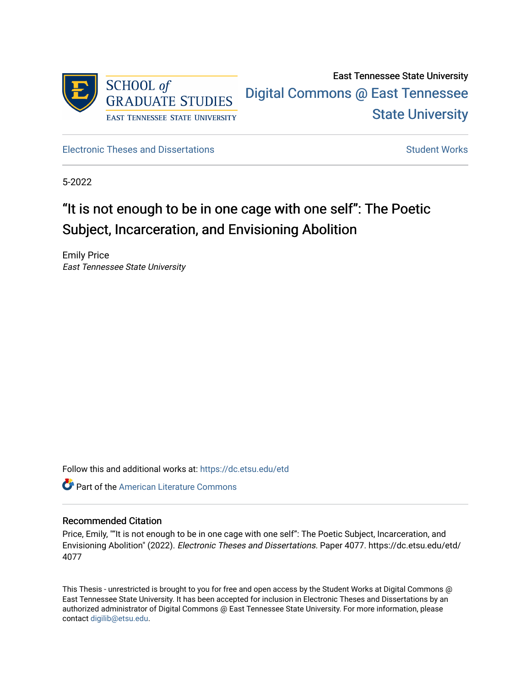

[Electronic Theses and Dissertations](https://dc.etsu.edu/etd) [Student Works](https://dc.etsu.edu/student-works) Student Works

5-2022

# "It is not enough to be in one cage with one self": The Poetic Subject, Incarceration, and Envisioning Abolition

Emily Price East Tennessee State University

Follow this and additional works at: [https://dc.etsu.edu/etd](https://dc.etsu.edu/etd?utm_source=dc.etsu.edu%2Fetd%2F4077&utm_medium=PDF&utm_campaign=PDFCoverPages)

**C** Part of the [American Literature Commons](http://network.bepress.com/hgg/discipline/441?utm_source=dc.etsu.edu%2Fetd%2F4077&utm_medium=PDF&utm_campaign=PDFCoverPages)

### Recommended Citation

Price, Emily, ""It is not enough to be in one cage with one self": The Poetic Subject, Incarceration, and Envisioning Abolition" (2022). Electronic Theses and Dissertations. Paper 4077. https://dc.etsu.edu/etd/ 4077

This Thesis - unrestricted is brought to you for free and open access by the Student Works at Digital Commons @ East Tennessee State University. It has been accepted for inclusion in Electronic Theses and Dissertations by an authorized administrator of Digital Commons @ East Tennessee State University. For more information, please contact [digilib@etsu.edu](mailto:digilib@etsu.edu).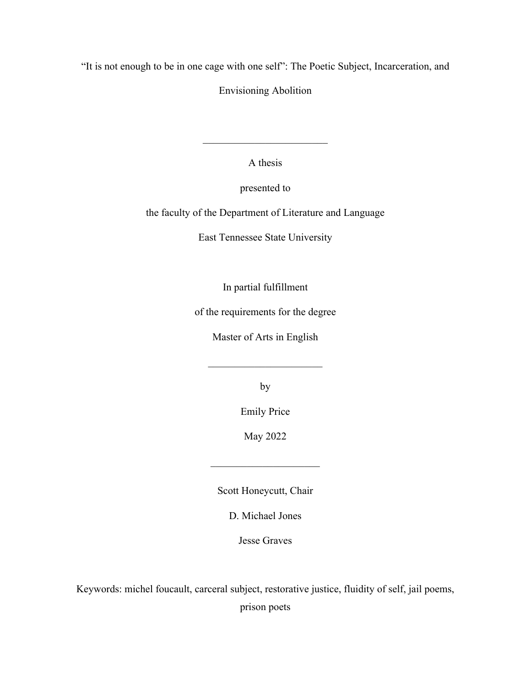"It is not enough to be in one cage with one self": The Poetic Subject, Incarceration, and

Envisioning Abolition

A thesis

presented to

the faculty of the Department of Literature and Language

East Tennessee State University

In partial fulfillment

of the requirements for the degree

Master of Arts in English

by

Emily Price

May 2022

Scott Honeycutt, Chair

D. Michael Jones

Jesse Graves

Keywords: michel foucault, carceral subject, restorative justice, fluidity of self, jail poems,

prison poets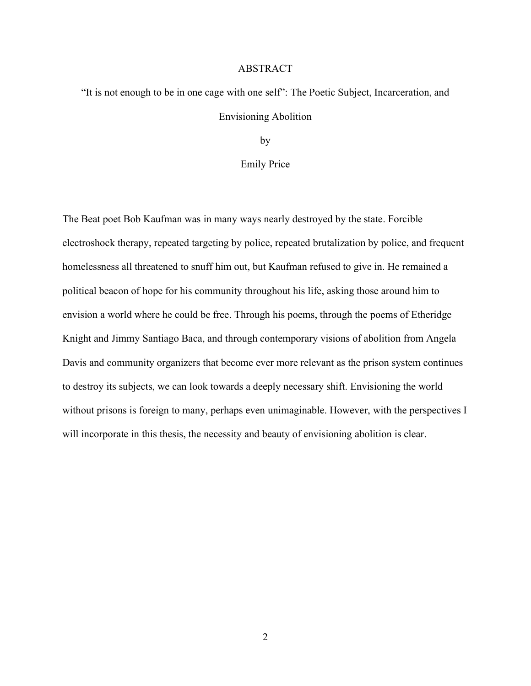#### ABSTRACT

"It is not enough to be in one cage with one self": The Poetic Subject, Incarceration, and Envisioning Abolition

by

## Emily Price

The Beat poet Bob Kaufman was in many ways nearly destroyed by the state. Forcible electroshock therapy, repeated targeting by police, repeated brutalization by police, and frequent homelessness all threatened to snuff him out, but Kaufman refused to give in. He remained a political beacon of hope for his community throughout his life, asking those around him to envision a world where he could be free. Through his poems, through the poems of Etheridge Knight and Jimmy Santiago Baca, and through contemporary visions of abolition from Angela Davis and community organizers that become ever more relevant as the prison system continues to destroy its subjects, we can look towards a deeply necessary shift. Envisioning the world without prisons is foreign to many, perhaps even unimaginable. However, with the perspectives I will incorporate in this thesis, the necessity and beauty of envisioning abolition is clear.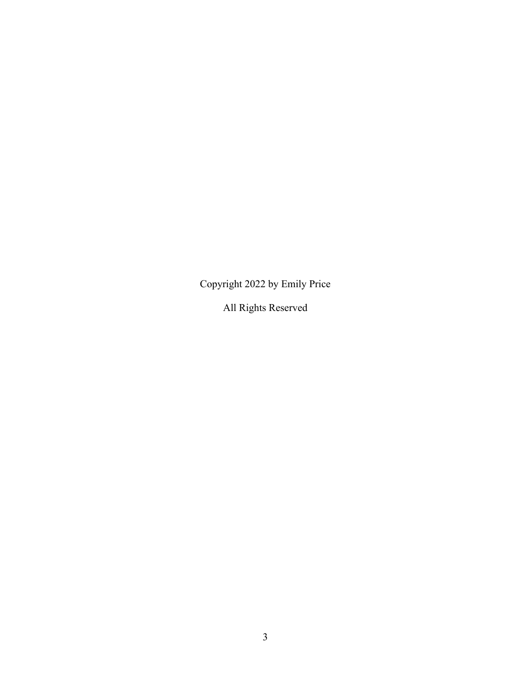Copyright 2022 by Emily Price

All Rights Reserved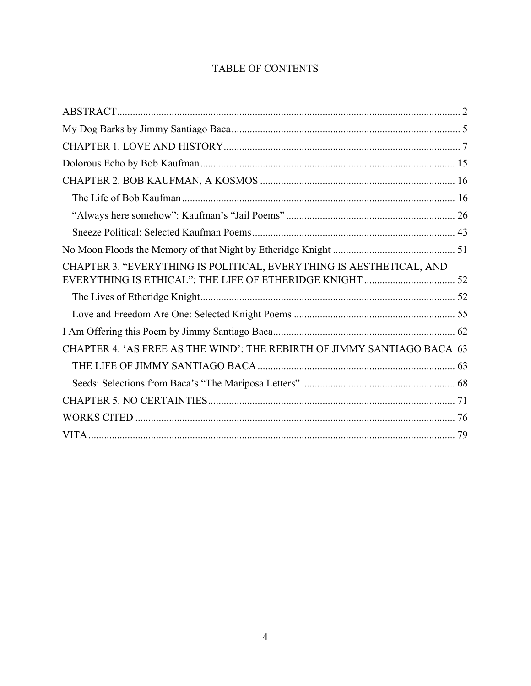# TABLE OF CONTENTS

| CHAPTER 3. "EVERYTHING IS POLITICAL, EVERYTHING IS AESTHETICAL, AND     |
|-------------------------------------------------------------------------|
|                                                                         |
|                                                                         |
|                                                                         |
| CHAPTER 4. 'AS FREE AS THE WIND': THE REBIRTH OF JIMMY SANTIAGO BACA 63 |
|                                                                         |
|                                                                         |
|                                                                         |
|                                                                         |
|                                                                         |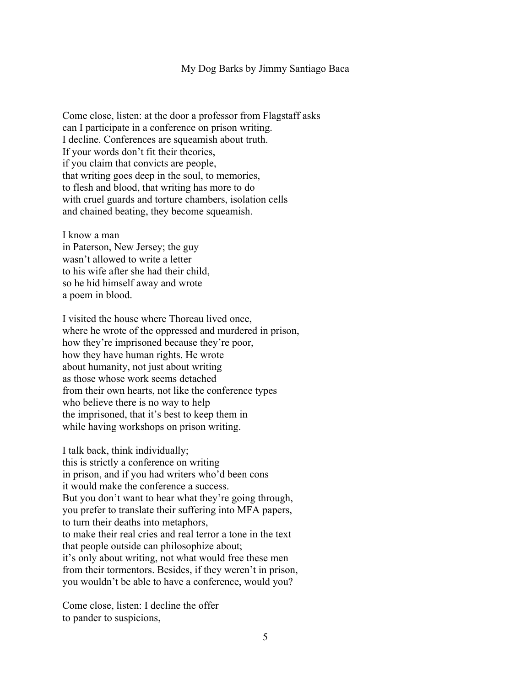#### My Dog Barks by Jimmy Santiago Baca

Come close, listen: at the door a professor from Flagstaff asks can I participate in a conference on prison writing. I decline. Conferences are squeamish about truth. If your words don't fit their theories, if you claim that convicts are people, that writing goes deep in the soul, to memories, to flesh and blood, that writing has more to do with cruel guards and torture chambers, isolation cells and chained beating, they become squeamish.

I know a man in Paterson, New Jersey; the guy wasn't allowed to write a letter to his wife after she had their child, so he hid himself away and wrote a poem in blood.

I visited the house where Thoreau lived once, where he wrote of the oppressed and murdered in prison, how they're imprisoned because they're poor, how they have human rights. He wrote about humanity, not just about writing as those whose work seems detached from their own hearts, not like the conference types who believe there is no way to help the imprisoned, that it's best to keep them in while having workshops on prison writing.

I talk back, think individually; this is strictly a conference on writing in prison, and if you had writers who'd been cons it would make the conference a success. But you don't want to hear what they're going through, you prefer to translate their suffering into MFA papers, to turn their deaths into metaphors, to make their real cries and real terror a tone in the text that people outside can philosophize about; it's only about writing, not what would free these men from their tormentors. Besides, if they weren't in prison, you wouldn't be able to have a conference, would you?

Come close, listen: I decline the offer to pander to suspicions,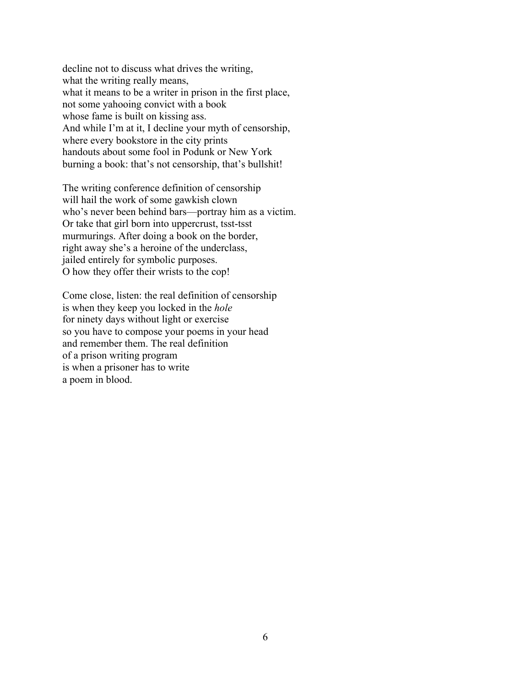decline not to discuss what drives the writing, what the writing really means, what it means to be a writer in prison in the first place, not some yahooing convict with a book whose fame is built on kissing ass. And while I'm at it, I decline your myth of censorship, where every bookstore in the city prints handouts about some fool in Podunk or New York burning a book: that's not censorship, that's bullshit!

The writing conference definition of censorship will hail the work of some gawkish clown who's never been behind bars—portray him as a victim. Or take that girl born into uppercrust, tsst-tsst murmurings. After doing a book on the border, right away she's a heroine of the underclass, jailed entirely for symbolic purposes. O how they offer their wrists to the cop!

Come close, listen: the real definition of censorship is when they keep you locked in the *hole* for ninety days without light or exercise so you have to compose your poems in your head and remember them. The real definition of a prison writing program is when a prisoner has to write a poem in blood.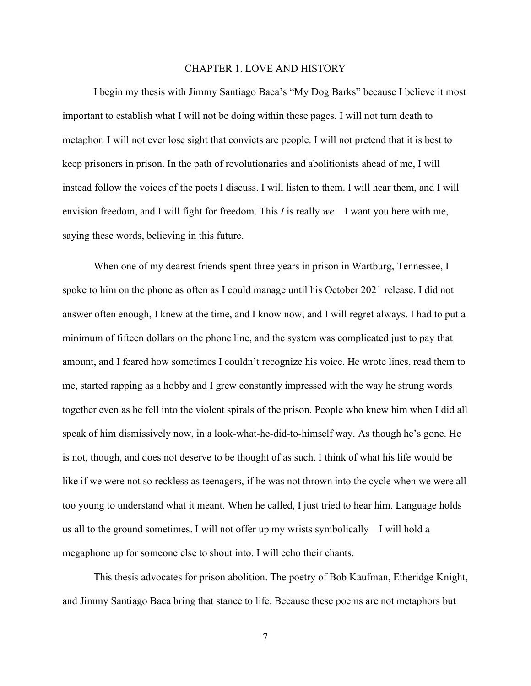#### CHAPTER 1. LOVE AND HISTORY

I begin my thesis with Jimmy Santiago Baca's "My Dog Barks" because I believe it most important to establish what I will not be doing within these pages. I will not turn death to metaphor. I will not ever lose sight that convicts are people. I will not pretend that it is best to keep prisoners in prison. In the path of revolutionaries and abolitionists ahead of me, I will instead follow the voices of the poets I discuss. I will listen to them. I will hear them, and I will envision freedom, and I will fight for freedom. This *I* is really *we*—I want you here with me, saying these words, believing in this future.

When one of my dearest friends spent three years in prison in Wartburg, Tennessee, I spoke to him on the phone as often as I could manage until his October 2021 release. I did not answer often enough, I knew at the time, and I know now, and I will regret always. I had to put a minimum of fifteen dollars on the phone line, and the system was complicated just to pay that amount, and I feared how sometimes I couldn't recognize his voice. He wrote lines, read them to me, started rapping as a hobby and I grew constantly impressed with the way he strung words together even as he fell into the violent spirals of the prison. People who knew him when I did all speak of him dismissively now, in a look-what-he-did-to-himself way. As though he's gone. He is not, though, and does not deserve to be thought of as such. I think of what his life would be like if we were not so reckless as teenagers, if he was not thrown into the cycle when we were all too young to understand what it meant. When he called, I just tried to hear him. Language holds us all to the ground sometimes. I will not offer up my wrists symbolically—I will hold a megaphone up for someone else to shout into. I will echo their chants.

This thesis advocates for prison abolition. The poetry of Bob Kaufman, Etheridge Knight, and Jimmy Santiago Baca bring that stance to life. Because these poems are not metaphors but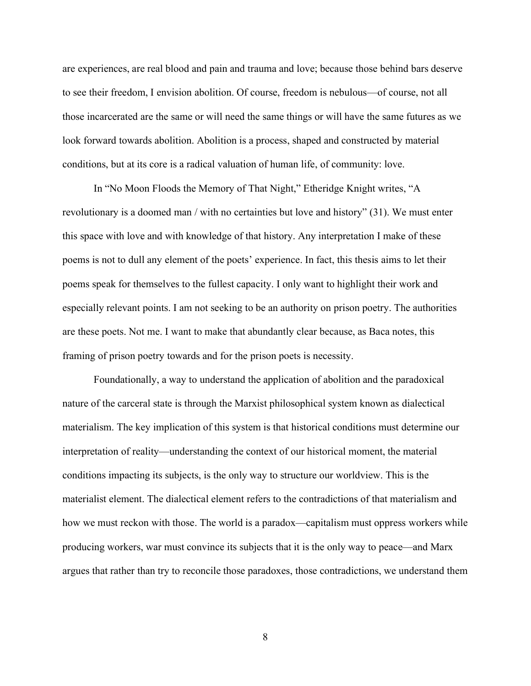are experiences, are real blood and pain and trauma and love; because those behind bars deserve to see their freedom, I envision abolition. Of course, freedom is nebulous—of course, not all those incarcerated are the same or will need the same things or will have the same futures as we look forward towards abolition. Abolition is a process, shaped and constructed by material conditions, but at its core is a radical valuation of human life, of community: love.

In "No Moon Floods the Memory of That Night," Etheridge Knight writes, "A revolutionary is a doomed man / with no certainties but love and history" (31). We must enter this space with love and with knowledge of that history. Any interpretation I make of these poems is not to dull any element of the poets' experience. In fact, this thesis aims to let their poems speak for themselves to the fullest capacity. I only want to highlight their work and especially relevant points. I am not seeking to be an authority on prison poetry. The authorities are these poets. Not me. I want to make that abundantly clear because, as Baca notes, this framing of prison poetry towards and for the prison poets is necessity.

Foundationally, a way to understand the application of abolition and the paradoxical nature of the carceral state is through the Marxist philosophical system known as dialectical materialism. The key implication of this system is that historical conditions must determine our interpretation of reality—understanding the context of our historical moment, the material conditions impacting its subjects, is the only way to structure our worldview. This is the materialist element. The dialectical element refers to the contradictions of that materialism and how we must reckon with those. The world is a paradox—capitalism must oppress workers while producing workers, war must convince its subjects that it is the only way to peace—and Marx argues that rather than try to reconcile those paradoxes, those contradictions, we understand them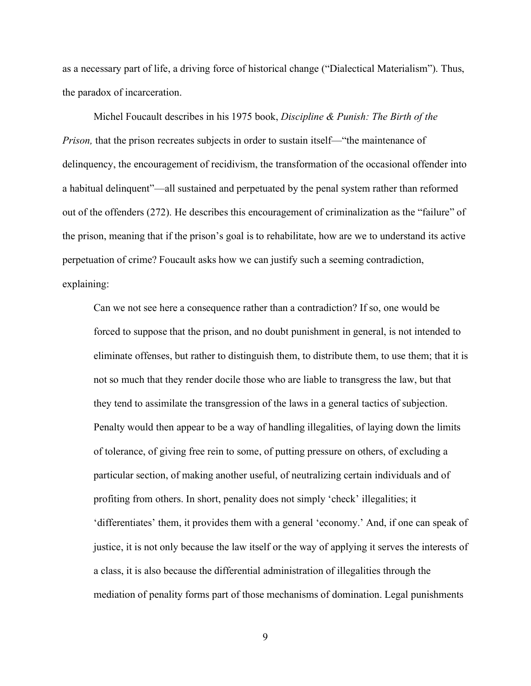as a necessary part of life, a driving force of historical change ("Dialectical Materialism"). Thus, the paradox of incarceration.

Michel Foucault describes in his 1975 book, *Discipline & Punish: The Birth of the Prison*, that the prison recreates subjects in order to sustain itself—"the maintenance of delinquency, the encouragement of recidivism, the transformation of the occasional offender into a habitual delinquent"—all sustained and perpetuated by the penal system rather than reformed out of the offenders (272). He describes this encouragement of criminalization as the "failure" of the prison, meaning that if the prison's goal is to rehabilitate, how are we to understand its active perpetuation of crime? Foucault asks how we can justify such a seeming contradiction, explaining:

Can we not see here a consequence rather than a contradiction? If so, one would be forced to suppose that the prison, and no doubt punishment in general, is not intended to eliminate offenses, but rather to distinguish them, to distribute them, to use them; that it is not so much that they render docile those who are liable to transgress the law, but that they tend to assimilate the transgression of the laws in a general tactics of subjection. Penalty would then appear to be a way of handling illegalities, of laying down the limits of tolerance, of giving free rein to some, of putting pressure on others, of excluding a particular section, of making another useful, of neutralizing certain individuals and of profiting from others. In short, penality does not simply 'check' illegalities; it 'differentiates' them, it provides them with a general 'economy.' And, if one can speak of justice, it is not only because the law itself or the way of applying it serves the interests of a class, it is also because the differential administration of illegalities through the mediation of penality forms part of those mechanisms of domination. Legal punishments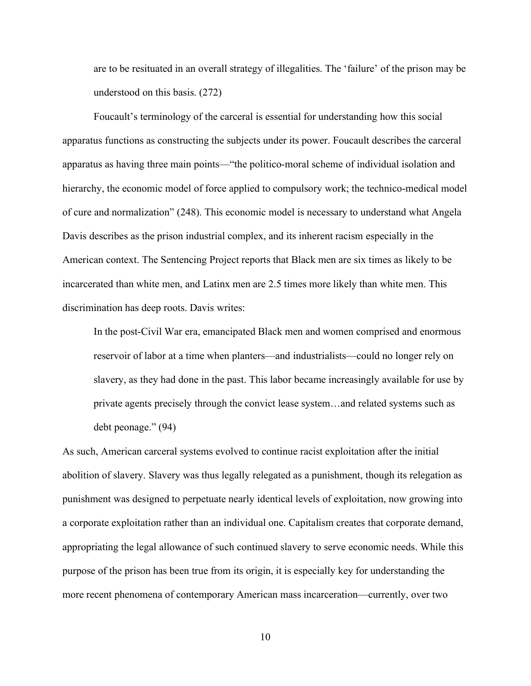are to be resituated in an overall strategy of illegalities. The 'failure' of the prison may be understood on this basis. (272)

Foucault's terminology of the carceral is essential for understanding how this social apparatus functions as constructing the subjects under its power. Foucault describes the carceral apparatus as having three main points—"the politico-moral scheme of individual isolation and hierarchy, the economic model of force applied to compulsory work; the technico-medical model of cure and normalization" (248). This economic model is necessary to understand what Angela Davis describes as the prison industrial complex, and its inherent racism especially in the American context. The Sentencing Project reports that Black men are six times as likely to be incarcerated than white men, and Latinx men are 2.5 times more likely than white men. This discrimination has deep roots. Davis writes:

In the post-Civil War era, emancipated Black men and women comprised and enormous reservoir of labor at a time when planters—and industrialists—could no longer rely on slavery, as they had done in the past. This labor became increasingly available for use by private agents precisely through the convict lease system…and related systems such as debt peonage." (94)

As such, American carceral systems evolved to continue racist exploitation after the initial abolition of slavery. Slavery was thus legally relegated as a punishment, though its relegation as punishment was designed to perpetuate nearly identical levels of exploitation, now growing into a corporate exploitation rather than an individual one. Capitalism creates that corporate demand, appropriating the legal allowance of such continued slavery to serve economic needs. While this purpose of the prison has been true from its origin, it is especially key for understanding the more recent phenomena of contemporary American mass incarceration—currently, over two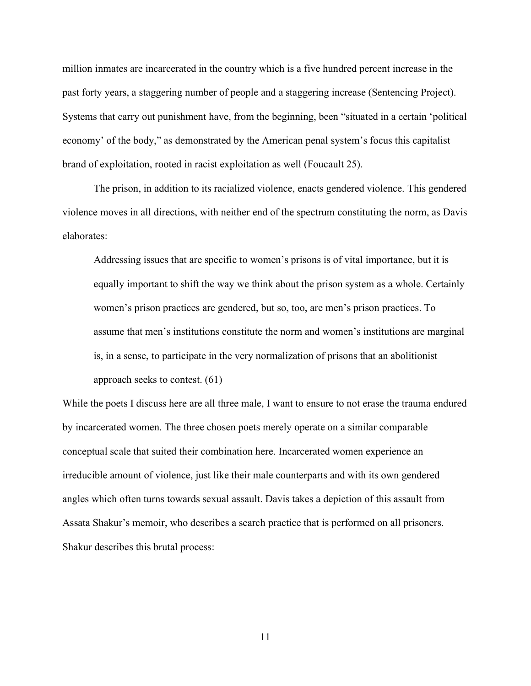million inmates are incarcerated in the country which is a five hundred percent increase in the past forty years, a staggering number of people and a staggering increase (Sentencing Project). Systems that carry out punishment have, from the beginning, been "situated in a certain 'political economy' of the body," as demonstrated by the American penal system's focus this capitalist brand of exploitation, rooted in racist exploitation as well (Foucault 25).

The prison, in addition to its racialized violence, enacts gendered violence. This gendered violence moves in all directions, with neither end of the spectrum constituting the norm, as Davis elaborates:

Addressing issues that are specific to women's prisons is of vital importance, but it is equally important to shift the way we think about the prison system as a whole. Certainly women's prison practices are gendered, but so, too, are men's prison practices. To assume that men's institutions constitute the norm and women's institutions are marginal is, in a sense, to participate in the very normalization of prisons that an abolitionist approach seeks to contest. (61)

While the poets I discuss here are all three male, I want to ensure to not erase the trauma endured by incarcerated women. The three chosen poets merely operate on a similar comparable conceptual scale that suited their combination here. Incarcerated women experience an irreducible amount of violence, just like their male counterparts and with its own gendered angles which often turns towards sexual assault. Davis takes a depiction of this assault from Assata Shakur's memoir, who describes a search practice that is performed on all prisoners. Shakur describes this brutal process: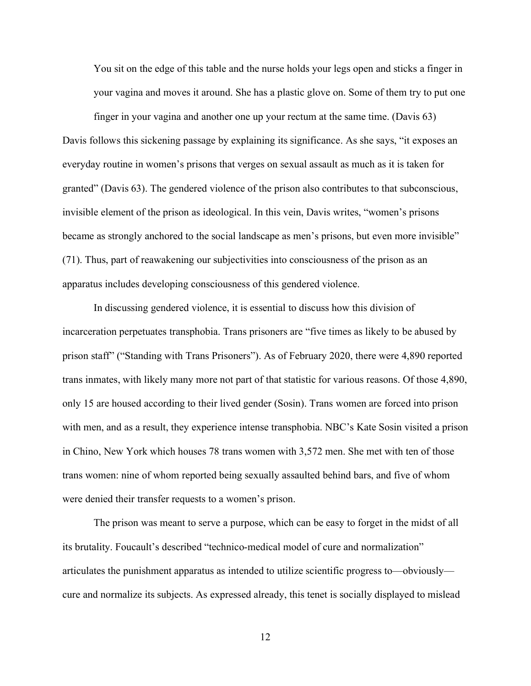You sit on the edge of this table and the nurse holds your legs open and sticks a finger in your vagina and moves it around. She has a plastic glove on. Some of them try to put one

finger in your vagina and another one up your rectum at the same time. (Davis 63) Davis follows this sickening passage by explaining its significance. As she says, "it exposes an everyday routine in women's prisons that verges on sexual assault as much as it is taken for granted" (Davis 63). The gendered violence of the prison also contributes to that subconscious, invisible element of the prison as ideological. In this vein, Davis writes, "women's prisons became as strongly anchored to the social landscape as men's prisons, but even more invisible" (71). Thus, part of reawakening our subjectivities into consciousness of the prison as an apparatus includes developing consciousness of this gendered violence.

In discussing gendered violence, it is essential to discuss how this division of incarceration perpetuates transphobia. Trans prisoners are "five times as likely to be abused by prison staff" ("Standing with Trans Prisoners"). As of February 2020, there were 4,890 reported trans inmates, with likely many more not part of that statistic for various reasons. Of those 4,890, only 15 are housed according to their lived gender (Sosin). Trans women are forced into prison with men, and as a result, they experience intense transphobia. NBC's Kate Sosin visited a prison in Chino, New York which houses 78 trans women with 3,572 men. She met with ten of those trans women: nine of whom reported being sexually assaulted behind bars, and five of whom were denied their transfer requests to a women's prison.

The prison was meant to serve a purpose, which can be easy to forget in the midst of all its brutality. Foucault's described "technico-medical model of cure and normalization" articulates the punishment apparatus as intended to utilize scientific progress to—obviously cure and normalize its subjects. As expressed already, this tenet is socially displayed to mislead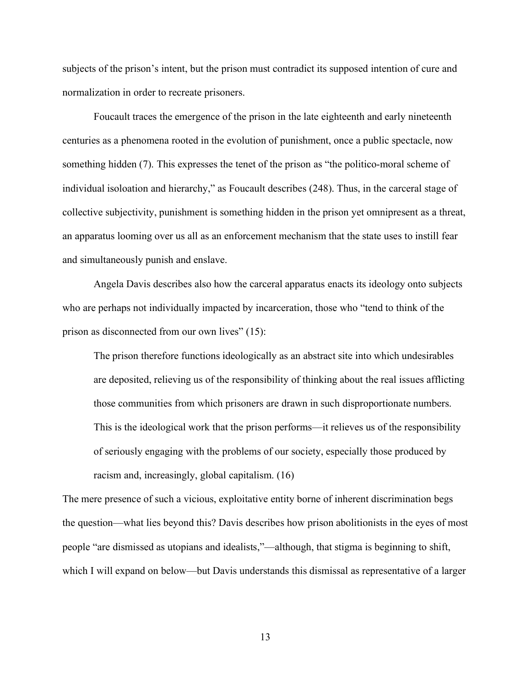subjects of the prison's intent, but the prison must contradict its supposed intention of cure and normalization in order to recreate prisoners.

Foucault traces the emergence of the prison in the late eighteenth and early nineteenth centuries as a phenomena rooted in the evolution of punishment, once a public spectacle, now something hidden (7). This expresses the tenet of the prison as "the politico-moral scheme of individual isoloation and hierarchy," as Foucault describes (248). Thus, in the carceral stage of collective subjectivity, punishment is something hidden in the prison yet omnipresent as a threat, an apparatus looming over us all as an enforcement mechanism that the state uses to instill fear and simultaneously punish and enslave.

Angela Davis describes also how the carceral apparatus enacts its ideology onto subjects who are perhaps not individually impacted by incarceration, those who "tend to think of the prison as disconnected from our own lives" (15):

The prison therefore functions ideologically as an abstract site into which undesirables are deposited, relieving us of the responsibility of thinking about the real issues afflicting those communities from which prisoners are drawn in such disproportionate numbers. This is the ideological work that the prison performs—it relieves us of the responsibility of seriously engaging with the problems of our society, especially those produced by racism and, increasingly, global capitalism. (16)

The mere presence of such a vicious, exploitative entity borne of inherent discrimination begs the question—what lies beyond this? Davis describes how prison abolitionists in the eyes of most people "are dismissed as utopians and idealists,"—although, that stigma is beginning to shift, which I will expand on below—but Davis understands this dismissal as representative of a larger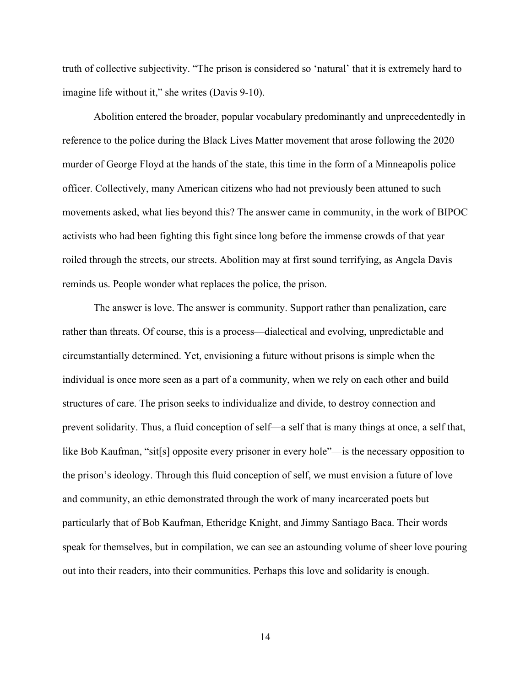truth of collective subjectivity. "The prison is considered so 'natural' that it is extremely hard to imagine life without it," she writes (Davis 9-10).

Abolition entered the broader, popular vocabulary predominantly and unprecedentedly in reference to the police during the Black Lives Matter movement that arose following the 2020 murder of George Floyd at the hands of the state, this time in the form of a Minneapolis police officer. Collectively, many American citizens who had not previously been attuned to such movements asked, what lies beyond this? The answer came in community, in the work of BIPOC activists who had been fighting this fight since long before the immense crowds of that year roiled through the streets, our streets. Abolition may at first sound terrifying, as Angela Davis reminds us. People wonder what replaces the police, the prison.

The answer is love. The answer is community. Support rather than penalization, care rather than threats. Of course, this is a process—dialectical and evolving, unpredictable and circumstantially determined. Yet, envisioning a future without prisons is simple when the individual is once more seen as a part of a community, when we rely on each other and build structures of care. The prison seeks to individualize and divide, to destroy connection and prevent solidarity. Thus, a fluid conception of self—a self that is many things at once, a self that, like Bob Kaufman, "sit[s] opposite every prisoner in every hole"—is the necessary opposition to the prison's ideology. Through this fluid conception of self, we must envision a future of love and community, an ethic demonstrated through the work of many incarcerated poets but particularly that of Bob Kaufman, Etheridge Knight, and Jimmy Santiago Baca. Their words speak for themselves, but in compilation, we can see an astounding volume of sheer love pouring out into their readers, into their communities. Perhaps this love and solidarity is enough.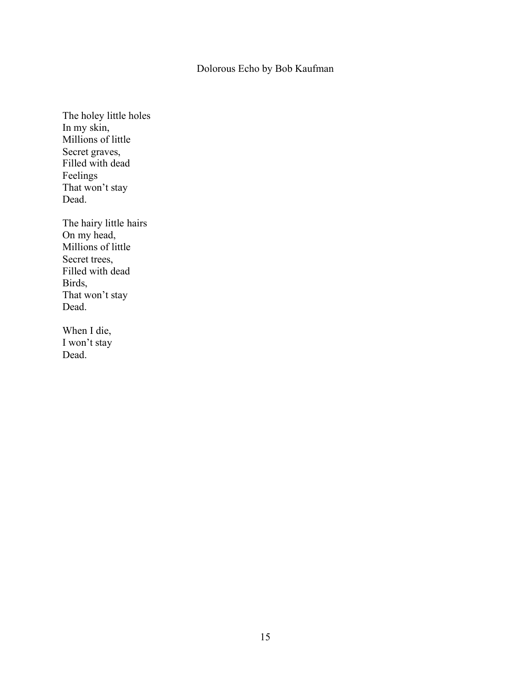# Dolorous Echo by Bob Kaufman

The holey little holes In my skin, Millions of little Secret graves, Filled with dead Feelings That won't stay Dead.

The hairy little hairs On my head, Millions of little Secret trees, Filled with dead Birds, That won't stay Dead.

When I die, I won't stay Dead.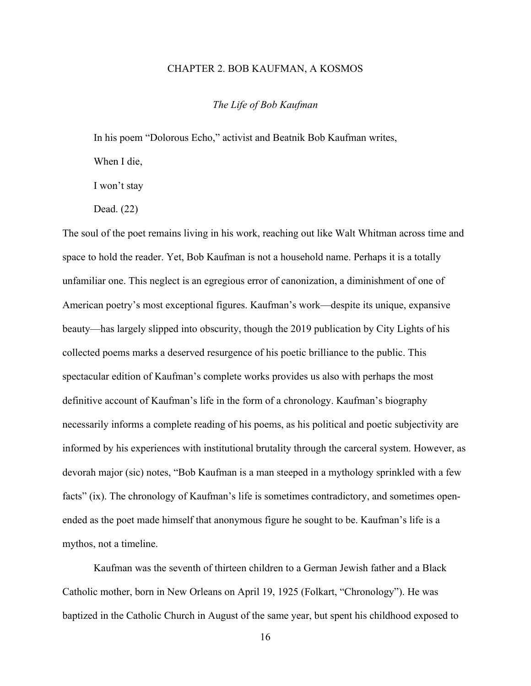#### CHAPTER 2. BOB KAUFMAN, A KOSMOS

*The Life of Bob Kaufman*

In his poem "Dolorous Echo," activist and Beatnik Bob Kaufman writes, When I die,

I won't stay

Dead. (22)

The soul of the poet remains living in his work, reaching out like Walt Whitman across time and space to hold the reader. Yet, Bob Kaufman is not a household name. Perhaps it is a totally unfamiliar one. This neglect is an egregious error of canonization, a diminishment of one of American poetry's most exceptional figures. Kaufman's work—despite its unique, expansive beauty—has largely slipped into obscurity, though the 2019 publication by City Lights of his collected poems marks a deserved resurgence of his poetic brilliance to the public. This spectacular edition of Kaufman's complete works provides us also with perhaps the most definitive account of Kaufman's life in the form of a chronology. Kaufman's biography necessarily informs a complete reading of his poems, as his political and poetic subjectivity are informed by his experiences with institutional brutality through the carceral system. However, as devorah major (sic) notes, "Bob Kaufman is a man steeped in a mythology sprinkled with a few facts" (ix). The chronology of Kaufman's life is sometimes contradictory, and sometimes openended as the poet made himself that anonymous figure he sought to be. Kaufman's life is a mythos, not a timeline.

Kaufman was the seventh of thirteen children to a German Jewish father and a Black Catholic mother, born in New Orleans on April 19, 1925 (Folkart, "Chronology"). He was baptized in the Catholic Church in August of the same year, but spent his childhood exposed to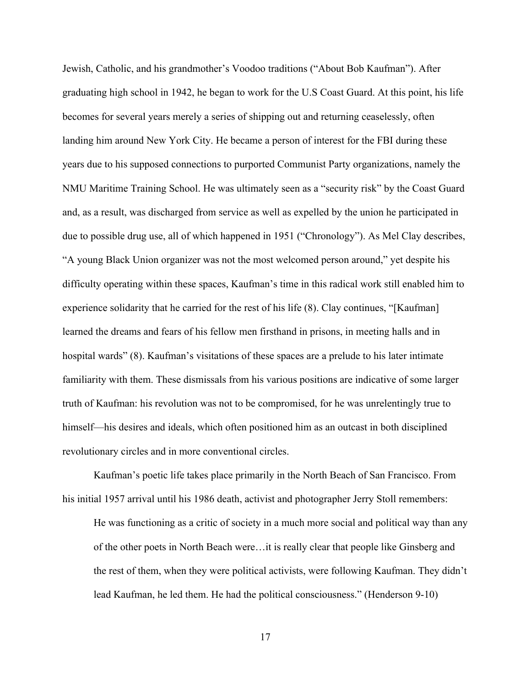Jewish, Catholic, and his grandmother's Voodoo traditions ("About Bob Kaufman"). After graduating high school in 1942, he began to work for the U.S Coast Guard. At this point, his life becomes for several years merely a series of shipping out and returning ceaselessly, often landing him around New York City. He became a person of interest for the FBI during these years due to his supposed connections to purported Communist Party organizations, namely the NMU Maritime Training School. He was ultimately seen as a "security risk" by the Coast Guard and, as a result, was discharged from service as well as expelled by the union he participated in due to possible drug use, all of which happened in 1951 ("Chronology"). As Mel Clay describes, "A young Black Union organizer was not the most welcomed person around," yet despite his difficulty operating within these spaces, Kaufman's time in this radical work still enabled him to experience solidarity that he carried for the rest of his life (8). Clay continues, "[Kaufman] learned the dreams and fears of his fellow men firsthand in prisons, in meeting halls and in hospital wards" (8). Kaufman's visitations of these spaces are a prelude to his later intimate familiarity with them. These dismissals from his various positions are indicative of some larger truth of Kaufman: his revolution was not to be compromised, for he was unrelentingly true to himself—his desires and ideals, which often positioned him as an outcast in both disciplined revolutionary circles and in more conventional circles.

Kaufman's poetic life takes place primarily in the North Beach of San Francisco. From his initial 1957 arrival until his 1986 death, activist and photographer Jerry Stoll remembers:

He was functioning as a critic of society in a much more social and political way than any of the other poets in North Beach were…it is really clear that people like Ginsberg and the rest of them, when they were political activists, were following Kaufman. They didn't lead Kaufman, he led them. He had the political consciousness." (Henderson 9-10)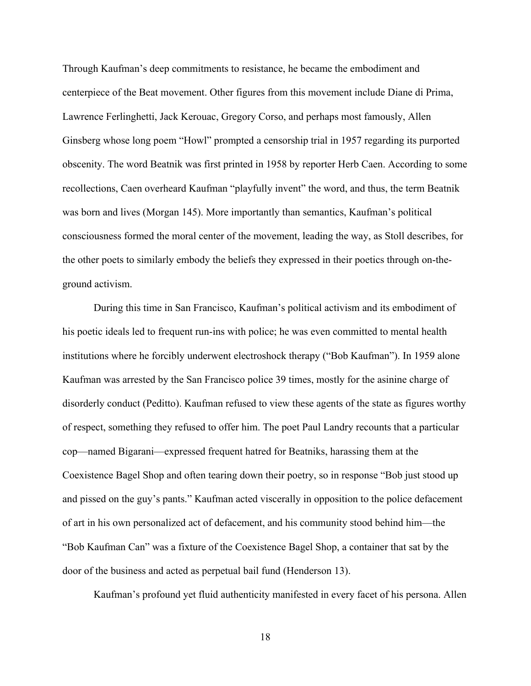Through Kaufman's deep commitments to resistance, he became the embodiment and centerpiece of the Beat movement. Other figures from this movement include Diane di Prima, Lawrence Ferlinghetti, Jack Kerouac, Gregory Corso, and perhaps most famously, Allen Ginsberg whose long poem "Howl" prompted a censorship trial in 1957 regarding its purported obscenity. The word Beatnik was first printed in 1958 by reporter Herb Caen. According to some recollections, Caen overheard Kaufman "playfully invent" the word, and thus, the term Beatnik was born and lives (Morgan 145). More importantly than semantics, Kaufman's political consciousness formed the moral center of the movement, leading the way, as Stoll describes, for the other poets to similarly embody the beliefs they expressed in their poetics through on-theground activism.

During this time in San Francisco, Kaufman's political activism and its embodiment of his poetic ideals led to frequent run-ins with police; he was even committed to mental health institutions where he forcibly underwent electroshock therapy ("Bob Kaufman"). In 1959 alone Kaufman was arrested by the San Francisco police 39 times, mostly for the asinine charge of disorderly conduct (Peditto). Kaufman refused to view these agents of the state as figures worthy of respect, something they refused to offer him. The poet Paul Landry recounts that a particular cop—named Bigarani—expressed frequent hatred for Beatniks, harassing them at the Coexistence Bagel Shop and often tearing down their poetry, so in response "Bob just stood up and pissed on the guy's pants." Kaufman acted viscerally in opposition to the police defacement of art in his own personalized act of defacement, and his community stood behind him—the "Bob Kaufman Can" was a fixture of the Coexistence Bagel Shop, a container that sat by the door of the business and acted as perpetual bail fund (Henderson 13).

Kaufman's profound yet fluid authenticity manifested in every facet of his persona. Allen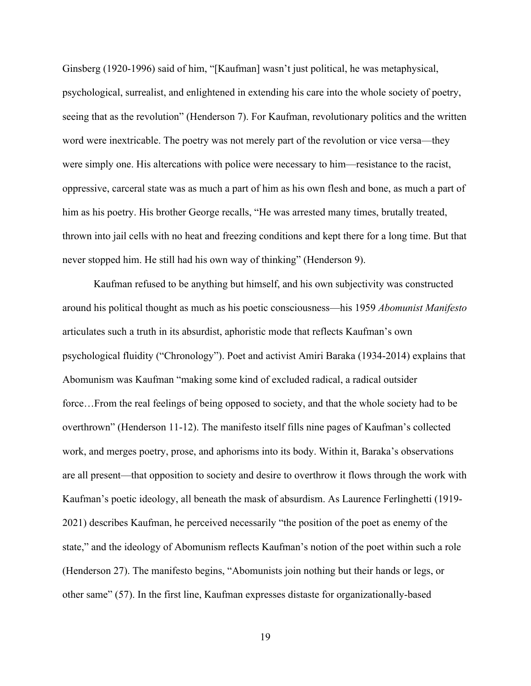Ginsberg (1920-1996) said of him, "[Kaufman] wasn't just political, he was metaphysical, psychological, surrealist, and enlightened in extending his care into the whole society of poetry, seeing that as the revolution" (Henderson 7). For Kaufman, revolutionary politics and the written word were inextricable. The poetry was not merely part of the revolution or vice versa—they were simply one. His altercations with police were necessary to him—resistance to the racist, oppressive, carceral state was as much a part of him as his own flesh and bone, as much a part of him as his poetry. His brother George recalls, "He was arrested many times, brutally treated, thrown into jail cells with no heat and freezing conditions and kept there for a long time. But that never stopped him. He still had his own way of thinking" (Henderson 9).

Kaufman refused to be anything but himself, and his own subjectivity was constructed around his political thought as much as his poetic consciousness—his 1959 *Abomunist Manifesto*  articulates such a truth in its absurdist, aphoristic mode that reflects Kaufman's own psychological fluidity ("Chronology"). Poet and activist Amiri Baraka (1934-2014) explains that Abomunism was Kaufman "making some kind of excluded radical, a radical outsider force…From the real feelings of being opposed to society, and that the whole society had to be overthrown" (Henderson 11-12). The manifesto itself fills nine pages of Kaufman's collected work, and merges poetry, prose, and aphorisms into its body. Within it, Baraka's observations are all present—that opposition to society and desire to overthrow it flows through the work with Kaufman's poetic ideology, all beneath the mask of absurdism. As Laurence Ferlinghetti (1919- 2021) describes Kaufman, he perceived necessarily "the position of the poet as enemy of the state," and the ideology of Abomunism reflects Kaufman's notion of the poet within such a role (Henderson 27). The manifesto begins, "Abomunists join nothing but their hands or legs, or other same" (57). In the first line, Kaufman expresses distaste for organizationally-based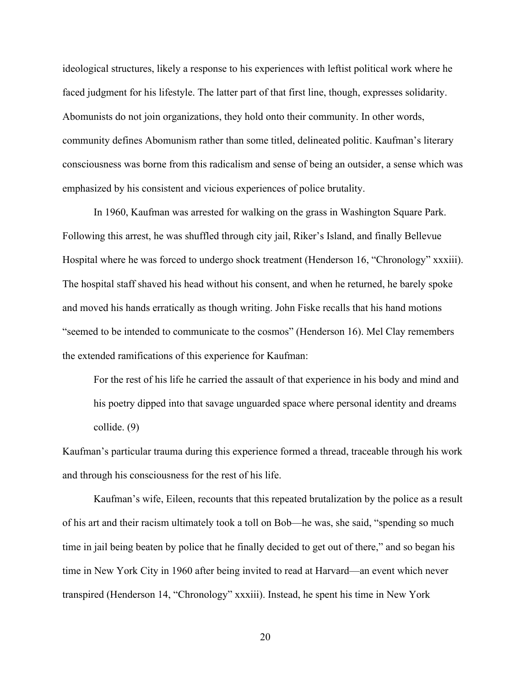ideological structures, likely a response to his experiences with leftist political work where he faced judgment for his lifestyle. The latter part of that first line, though, expresses solidarity. Abomunists do not join organizations, they hold onto their community. In other words, community defines Abomunism rather than some titled, delineated politic. Kaufman's literary consciousness was borne from this radicalism and sense of being an outsider, a sense which was emphasized by his consistent and vicious experiences of police brutality.

In 1960, Kaufman was arrested for walking on the grass in Washington Square Park. Following this arrest, he was shuffled through city jail, Riker's Island, and finally Bellevue Hospital where he was forced to undergo shock treatment (Henderson 16, "Chronology" xxxiii). The hospital staff shaved his head without his consent, and when he returned, he barely spoke and moved his hands erratically as though writing. John Fiske recalls that his hand motions "seemed to be intended to communicate to the cosmos" (Henderson 16). Mel Clay remembers the extended ramifications of this experience for Kaufman:

For the rest of his life he carried the assault of that experience in his body and mind and his poetry dipped into that savage unguarded space where personal identity and dreams collide. (9)

Kaufman's particular trauma during this experience formed a thread, traceable through his work and through his consciousness for the rest of his life.

Kaufman's wife, Eileen, recounts that this repeated brutalization by the police as a result of his art and their racism ultimately took a toll on Bob—he was, she said, "spending so much time in jail being beaten by police that he finally decided to get out of there," and so began his time in New York City in 1960 after being invited to read at Harvard—an event which never transpired (Henderson 14, "Chronology" xxxiii). Instead, he spent his time in New York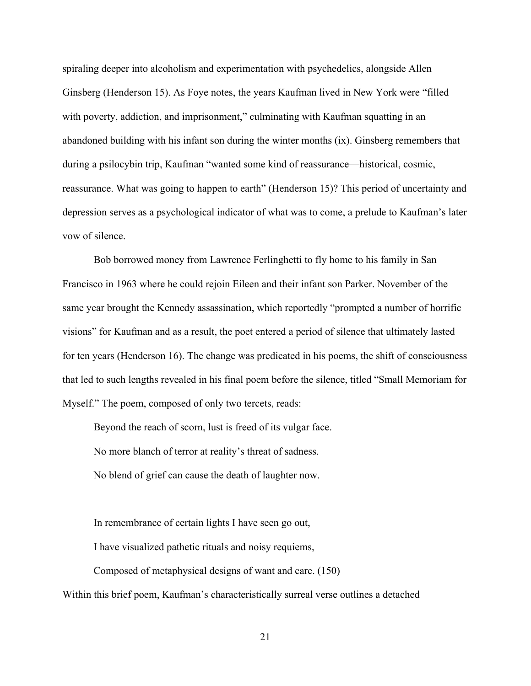spiraling deeper into alcoholism and experimentation with psychedelics, alongside Allen Ginsberg (Henderson 15). As Foye notes, the years Kaufman lived in New York were "filled with poverty, addiction, and imprisonment," culminating with Kaufman squatting in an abandoned building with his infant son during the winter months (ix). Ginsberg remembers that during a psilocybin trip, Kaufman "wanted some kind of reassurance—historical, cosmic, reassurance. What was going to happen to earth" (Henderson 15)? This period of uncertainty and depression serves as a psychological indicator of what was to come, a prelude to Kaufman's later vow of silence.

Bob borrowed money from Lawrence Ferlinghetti to fly home to his family in San Francisco in 1963 where he could rejoin Eileen and their infant son Parker. November of the same year brought the Kennedy assassination, which reportedly "prompted a number of horrific visions" for Kaufman and as a result, the poet entered a period of silence that ultimately lasted for ten years (Henderson 16). The change was predicated in his poems, the shift of consciousness that led to such lengths revealed in his final poem before the silence, titled "Small Memoriam for Myself." The poem, composed of only two tercets, reads:

Beyond the reach of scorn, lust is freed of its vulgar face. No more blanch of terror at reality's threat of sadness. No blend of grief can cause the death of laughter now.

In remembrance of certain lights I have seen go out, I have visualized pathetic rituals and noisy requiems, Composed of metaphysical designs of want and care. (150)

Within this brief poem, Kaufman's characteristically surreal verse outlines a detached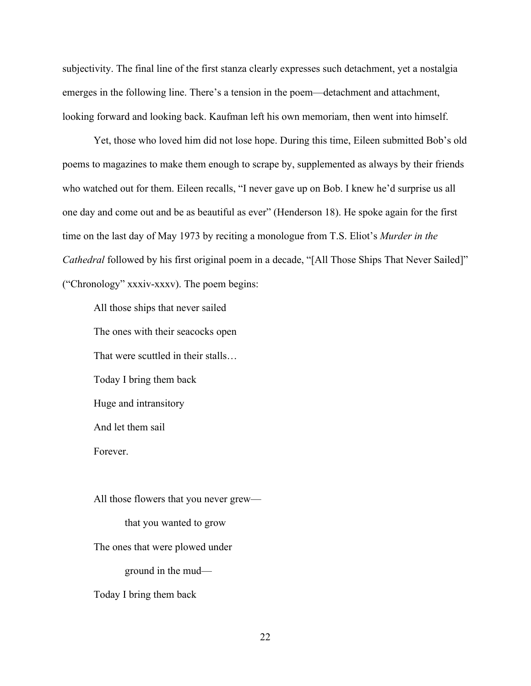subjectivity. The final line of the first stanza clearly expresses such detachment, yet a nostalgia emerges in the following line. There's a tension in the poem—detachment and attachment, looking forward and looking back. Kaufman left his own memoriam, then went into himself.

Yet, those who loved him did not lose hope. During this time, Eileen submitted Bob's old poems to magazines to make them enough to scrape by, supplemented as always by their friends who watched out for them. Eileen recalls, "I never gave up on Bob. I knew he'd surprise us all one day and come out and be as beautiful as ever" (Henderson 18). He spoke again for the first time on the last day of May 1973 by reciting a monologue from T.S. Eliot's *Murder in the Cathedral* followed by his first original poem in a decade, "[All Those Ships That Never Sailed]" ("Chronology" xxxiv-xxxv). The poem begins:

All those ships that never sailed The ones with their seacocks open That were scuttled in their stalls… Today I bring them back Huge and intransitory And let them sail Forever.

All those flowers that you never grew that you wanted to grow The ones that were plowed under ground in the mud— Today I bring them back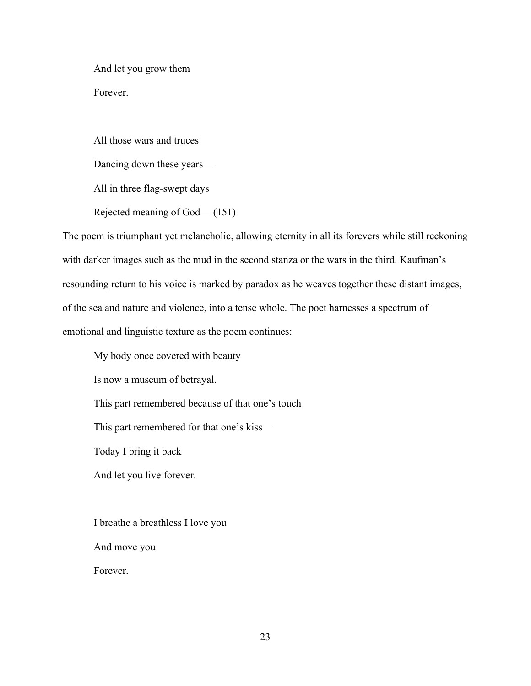And let you grow them

Forever.

All those wars and truces

Dancing down these years—

All in three flag-swept days

Rejected meaning of God— (151)

The poem is triumphant yet melancholic, allowing eternity in all its forevers while still reckoning with darker images such as the mud in the second stanza or the wars in the third. Kaufman's resounding return to his voice is marked by paradox as he weaves together these distant images, of the sea and nature and violence, into a tense whole. The poet harnesses a spectrum of emotional and linguistic texture as the poem continues:

My body once covered with beauty Is now a museum of betrayal. This part remembered because of that one's touch This part remembered for that one's kiss— Today I bring it back And let you live forever.

I breathe a breathless I love you And move you Forever.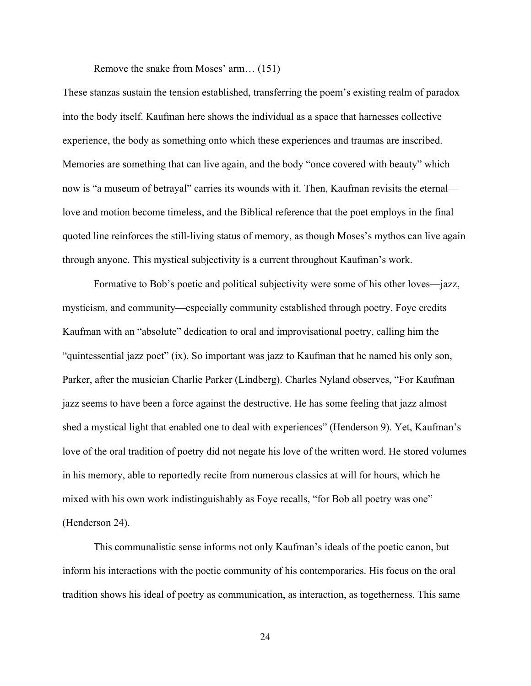Remove the snake from Moses' arm… (151)

These stanzas sustain the tension established, transferring the poem's existing realm of paradox into the body itself. Kaufman here shows the individual as a space that harnesses collective experience, the body as something onto which these experiences and traumas are inscribed. Memories are something that can live again, and the body "once covered with beauty" which now is "a museum of betrayal" carries its wounds with it. Then, Kaufman revisits the eternal love and motion become timeless, and the Biblical reference that the poet employs in the final quoted line reinforces the still-living status of memory, as though Moses's mythos can live again through anyone. This mystical subjectivity is a current throughout Kaufman's work.

Formative to Bob's poetic and political subjectivity were some of his other loves—jazz, mysticism, and community—especially community established through poetry. Foye credits Kaufman with an "absolute" dedication to oral and improvisational poetry, calling him the "quintessential jazz poet" (ix). So important was jazz to Kaufman that he named his only son, Parker, after the musician Charlie Parker (Lindberg). Charles Nyland observes, "For Kaufman jazz seems to have been a force against the destructive. He has some feeling that jazz almost shed a mystical light that enabled one to deal with experiences" (Henderson 9). Yet, Kaufman's love of the oral tradition of poetry did not negate his love of the written word. He stored volumes in his memory, able to reportedly recite from numerous classics at will for hours, which he mixed with his own work indistinguishably as Foye recalls, "for Bob all poetry was one" (Henderson 24).

This communalistic sense informs not only Kaufman's ideals of the poetic canon, but inform his interactions with the poetic community of his contemporaries. His focus on the oral tradition shows his ideal of poetry as communication, as interaction, as togetherness. This same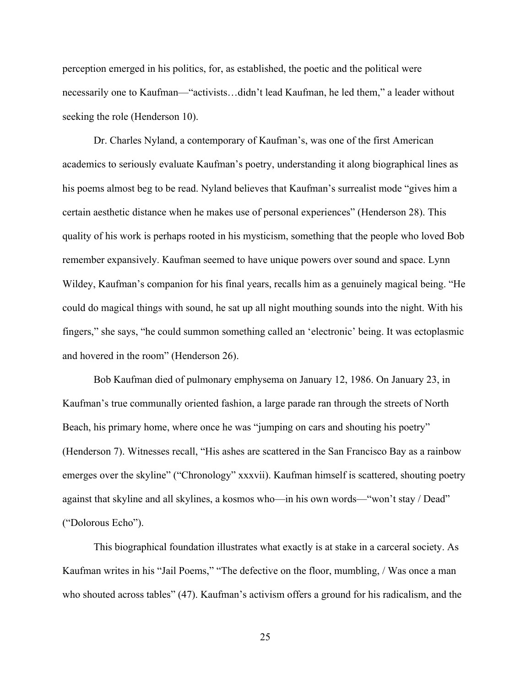perception emerged in his politics, for, as established, the poetic and the political were necessarily one to Kaufman—"activists…didn't lead Kaufman, he led them," a leader without seeking the role (Henderson 10).

Dr. Charles Nyland, a contemporary of Kaufman's, was one of the first American academics to seriously evaluate Kaufman's poetry, understanding it along biographical lines as his poems almost beg to be read. Nyland believes that Kaufman's surrealist mode "gives him a certain aesthetic distance when he makes use of personal experiences" (Henderson 28). This quality of his work is perhaps rooted in his mysticism, something that the people who loved Bob remember expansively. Kaufman seemed to have unique powers over sound and space. Lynn Wildey, Kaufman's companion for his final years, recalls him as a genuinely magical being. "He could do magical things with sound, he sat up all night mouthing sounds into the night. With his fingers," she says, "he could summon something called an 'electronic' being. It was ectoplasmic and hovered in the room" (Henderson 26).

Bob Kaufman died of pulmonary emphysema on January 12, 1986. On January 23, in Kaufman's true communally oriented fashion, a large parade ran through the streets of North Beach, his primary home, where once he was "jumping on cars and shouting his poetry" (Henderson 7). Witnesses recall, "His ashes are scattered in the San Francisco Bay as a rainbow emerges over the skyline" ("Chronology" xxxvii). Kaufman himself is scattered, shouting poetry against that skyline and all skylines, a kosmos who—in his own words—"won't stay / Dead" ("Dolorous Echo").

This biographical foundation illustrates what exactly is at stake in a carceral society. As Kaufman writes in his "Jail Poems," "The defective on the floor, mumbling, / Was once a man who shouted across tables" (47). Kaufman's activism offers a ground for his radicalism, and the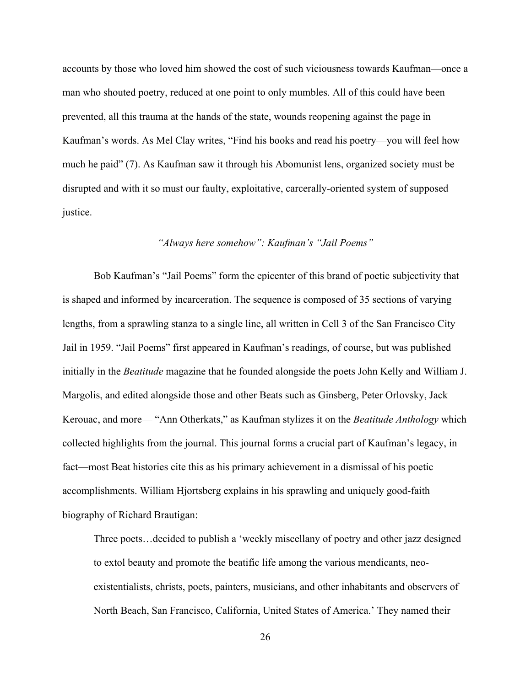accounts by those who loved him showed the cost of such viciousness towards Kaufman—once a man who shouted poetry, reduced at one point to only mumbles. All of this could have been prevented, all this trauma at the hands of the state, wounds reopening against the page in Kaufman's words. As Mel Clay writes, "Find his books and read his poetry—you will feel how much he paid" (7). As Kaufman saw it through his Abomunist lens, organized society must be disrupted and with it so must our faulty, exploitative, carcerally-oriented system of supposed justice.

## *"Always here somehow": Kaufman's "Jail Poems"*

Bob Kaufman's "Jail Poems" form the epicenter of this brand of poetic subjectivity that is shaped and informed by incarceration. The sequence is composed of 35 sections of varying lengths, from a sprawling stanza to a single line, all written in Cell 3 of the San Francisco City Jail in 1959. "Jail Poems" first appeared in Kaufman's readings, of course, but was published initially in the *Beatitude* magazine that he founded alongside the poets John Kelly and William J. Margolis, and edited alongside those and other Beats such as Ginsberg, Peter Orlovsky, Jack Kerouac, and more— "Ann Otherkats," as Kaufman stylizes it on the *Beatitude Anthology* which collected highlights from the journal. This journal forms a crucial part of Kaufman's legacy, in fact—most Beat histories cite this as his primary achievement in a dismissal of his poetic accomplishments. William Hjortsberg explains in his sprawling and uniquely good-faith biography of Richard Brautigan:

Three poets…decided to publish a 'weekly miscellany of poetry and other jazz designed to extol beauty and promote the beatific life among the various mendicants, neoexistentialists, christs, poets, painters, musicians, and other inhabitants and observers of North Beach, San Francisco, California, United States of America.' They named their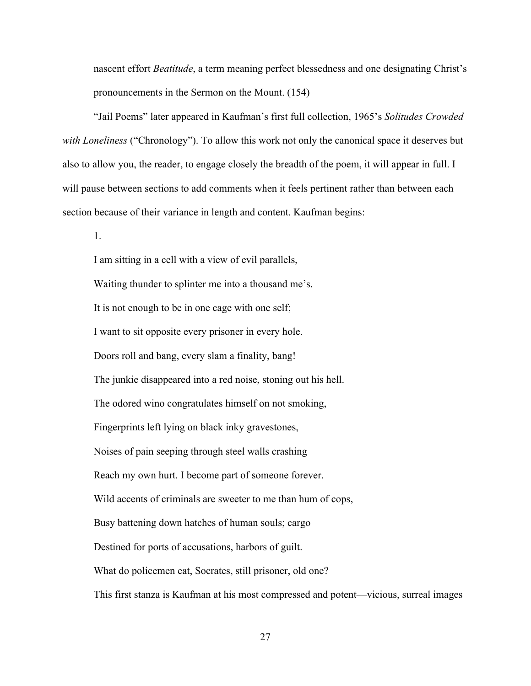nascent effort *Beatitude*, a term meaning perfect blessedness and one designating Christ's pronouncements in the Sermon on the Mount. (154)

"Jail Poems" later appeared in Kaufman's first full collection, 1965's *Solitudes Crowded with Loneliness* ("Chronology"). To allow this work not only the canonical space it deserves but also to allow you, the reader, to engage closely the breadth of the poem, it will appear in full. I will pause between sections to add comments when it feels pertinent rather than between each section because of their variance in length and content. Kaufman begins:

1.

I am sitting in a cell with a view of evil parallels, Waiting thunder to splinter me into a thousand me's. It is not enough to be in one cage with one self; I want to sit opposite every prisoner in every hole. Doors roll and bang, every slam a finality, bang! The junkie disappeared into a red noise, stoning out his hell. The odored wino congratulates himself on not smoking, Fingerprints left lying on black inky gravestones, Noises of pain seeping through steel walls crashing Reach my own hurt. I become part of someone forever. Wild accents of criminals are sweeter to me than hum of cops, Busy battening down hatches of human souls; cargo Destined for ports of accusations, harbors of guilt. What do policemen eat, Socrates, still prisoner, old one? This first stanza is Kaufman at his most compressed and potent—vicious, surreal images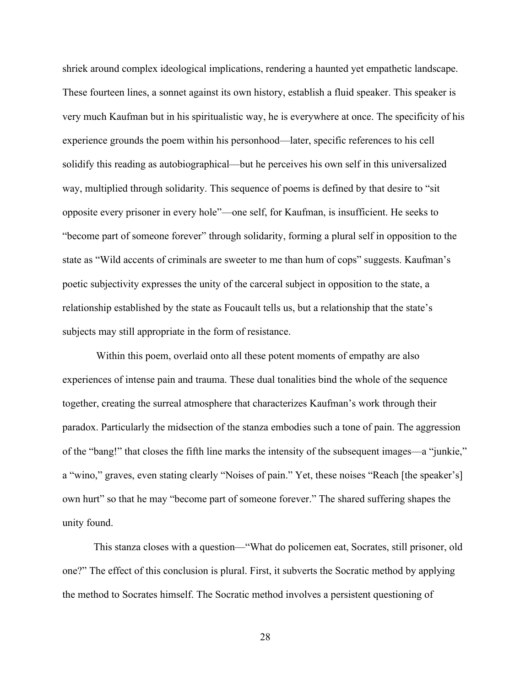shriek around complex ideological implications, rendering a haunted yet empathetic landscape. These fourteen lines, a sonnet against its own history, establish a fluid speaker. This speaker is very much Kaufman but in his spiritualistic way, he is everywhere at once. The specificity of his experience grounds the poem within his personhood—later, specific references to his cell solidify this reading as autobiographical—but he perceives his own self in this universalized way, multiplied through solidarity. This sequence of poems is defined by that desire to "sit opposite every prisoner in every hole"—one self, for Kaufman, is insufficient. He seeks to "become part of someone forever" through solidarity, forming a plural self in opposition to the state as "Wild accents of criminals are sweeter to me than hum of cops" suggests. Kaufman's poetic subjectivity expresses the unity of the carceral subject in opposition to the state, a relationship established by the state as Foucault tells us, but a relationship that the state's subjects may still appropriate in the form of resistance.

Within this poem, overlaid onto all these potent moments of empathy are also experiences of intense pain and trauma. These dual tonalities bind the whole of the sequence together, creating the surreal atmosphere that characterizes Kaufman's work through their paradox. Particularly the midsection of the stanza embodies such a tone of pain. The aggression of the "bang!" that closes the fifth line marks the intensity of the subsequent images—a "junkie," a "wino," graves, even stating clearly "Noises of pain." Yet, these noises "Reach [the speaker's] own hurt" so that he may "become part of someone forever." The shared suffering shapes the unity found.

This stanza closes with a question—"What do policemen eat, Socrates, still prisoner, old one?" The effect of this conclusion is plural. First, it subverts the Socratic method by applying the method to Socrates himself. The Socratic method involves a persistent questioning of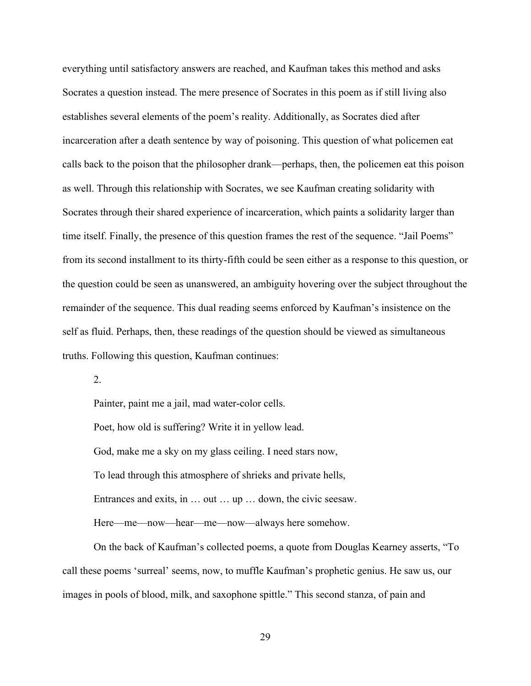everything until satisfactory answers are reached, and Kaufman takes this method and asks Socrates a question instead. The mere presence of Socrates in this poem as if still living also establishes several elements of the poem's reality. Additionally, as Socrates died after incarceration after a death sentence by way of poisoning. This question of what policemen eat calls back to the poison that the philosopher drank—perhaps, then, the policemen eat this poison as well. Through this relationship with Socrates, we see Kaufman creating solidarity with Socrates through their shared experience of incarceration, which paints a solidarity larger than time itself. Finally, the presence of this question frames the rest of the sequence. "Jail Poems" from its second installment to its thirty-fifth could be seen either as a response to this question, or the question could be seen as unanswered, an ambiguity hovering over the subject throughout the remainder of the sequence. This dual reading seems enforced by Kaufman's insistence on the self as fluid. Perhaps, then, these readings of the question should be viewed as simultaneous truths. Following this question, Kaufman continues:

2.

Painter, paint me a jail, mad water-color cells. Poet, how old is suffering? Write it in yellow lead. God, make me a sky on my glass ceiling. I need stars now, To lead through this atmosphere of shrieks and private hells, Entrances and exits, in … out … up … down, the civic seesaw. Here—me—now—hear—me—now—always here somehow.

On the back of Kaufman's collected poems, a quote from Douglas Kearney asserts, "To call these poems 'surreal' seems, now, to muffle Kaufman's prophetic genius. He saw us, our images in pools of blood, milk, and saxophone spittle." This second stanza, of pain and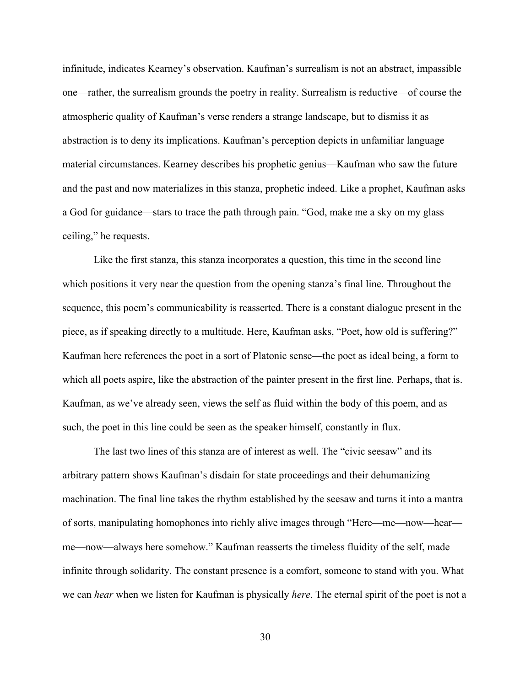infinitude, indicates Kearney's observation. Kaufman's surrealism is not an abstract, impassible one—rather, the surrealism grounds the poetry in reality. Surrealism is reductive—of course the atmospheric quality of Kaufman's verse renders a strange landscape, but to dismiss it as abstraction is to deny its implications. Kaufman's perception depicts in unfamiliar language material circumstances. Kearney describes his prophetic genius—Kaufman who saw the future and the past and now materializes in this stanza, prophetic indeed. Like a prophet, Kaufman asks a God for guidance—stars to trace the path through pain. "God, make me a sky on my glass ceiling," he requests.

Like the first stanza, this stanza incorporates a question, this time in the second line which positions it very near the question from the opening stanza's final line. Throughout the sequence, this poem's communicability is reasserted. There is a constant dialogue present in the piece, as if speaking directly to a multitude. Here, Kaufman asks, "Poet, how old is suffering?" Kaufman here references the poet in a sort of Platonic sense—the poet as ideal being, a form to which all poets aspire, like the abstraction of the painter present in the first line. Perhaps, that is. Kaufman, as we've already seen, views the self as fluid within the body of this poem, and as such, the poet in this line could be seen as the speaker himself, constantly in flux.

The last two lines of this stanza are of interest as well. The "civic seesaw" and its arbitrary pattern shows Kaufman's disdain for state proceedings and their dehumanizing machination. The final line takes the rhythm established by the seesaw and turns it into a mantra of sorts, manipulating homophones into richly alive images through "Here—me—now—hear me—now—always here somehow." Kaufman reasserts the timeless fluidity of the self, made infinite through solidarity. The constant presence is a comfort, someone to stand with you. What we can *hear* when we listen for Kaufman is physically *here*. The eternal spirit of the poet is not a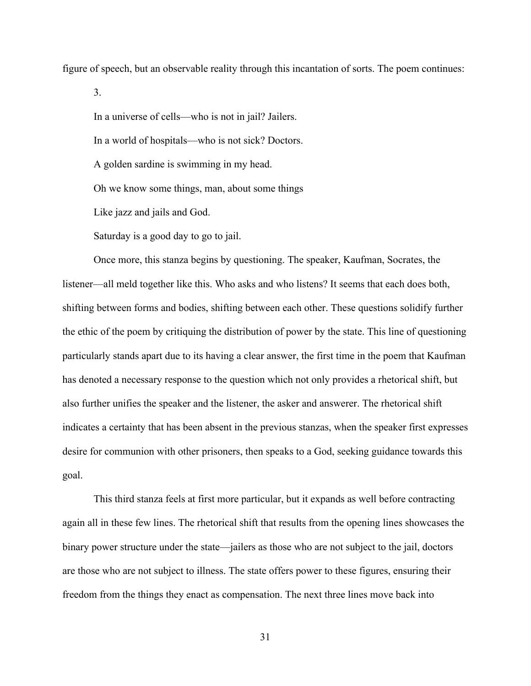figure of speech, but an observable reality through this incantation of sorts. The poem continues:

3.

In a universe of cells—who is not in jail? Jailers.

In a world of hospitals—who is not sick? Doctors.

A golden sardine is swimming in my head.

Oh we know some things, man, about some things

Like jazz and jails and God.

Saturday is a good day to go to jail.

Once more, this stanza begins by questioning. The speaker, Kaufman, Socrates, the listener—all meld together like this. Who asks and who listens? It seems that each does both, shifting between forms and bodies, shifting between each other. These questions solidify further the ethic of the poem by critiquing the distribution of power by the state. This line of questioning particularly stands apart due to its having a clear answer, the first time in the poem that Kaufman has denoted a necessary response to the question which not only provides a rhetorical shift, but also further unifies the speaker and the listener, the asker and answerer. The rhetorical shift indicates a certainty that has been absent in the previous stanzas, when the speaker first expresses desire for communion with other prisoners, then speaks to a God, seeking guidance towards this goal.

This third stanza feels at first more particular, but it expands as well before contracting again all in these few lines. The rhetorical shift that results from the opening lines showcases the binary power structure under the state—jailers as those who are not subject to the jail, doctors are those who are not subject to illness. The state offers power to these figures, ensuring their freedom from the things they enact as compensation. The next three lines move back into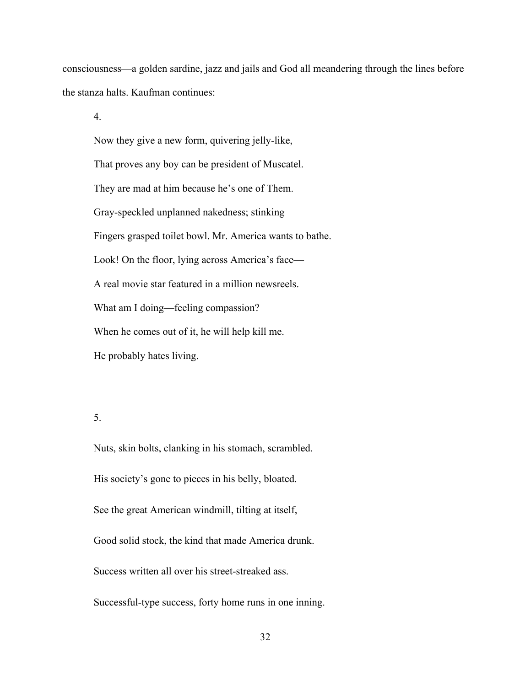consciousness—a golden sardine, jazz and jails and God all meandering through the lines before the stanza halts. Kaufman continues:

4.

Now they give a new form, quivering jelly-like, That proves any boy can be president of Muscatel. They are mad at him because he's one of Them. Gray-speckled unplanned nakedness; stinking Fingers grasped toilet bowl. Mr. America wants to bathe. Look! On the floor, lying across America's face— A real movie star featured in a million newsreels. What am I doing—feeling compassion? When he comes out of it, he will help kill me. He probably hates living.

### 5.

Nuts, skin bolts, clanking in his stomach, scrambled. His society's gone to pieces in his belly, bloated. See the great American windmill, tilting at itself, Good solid stock, the kind that made America drunk. Success written all over his street-streaked ass. Successful-type success, forty home runs in one inning.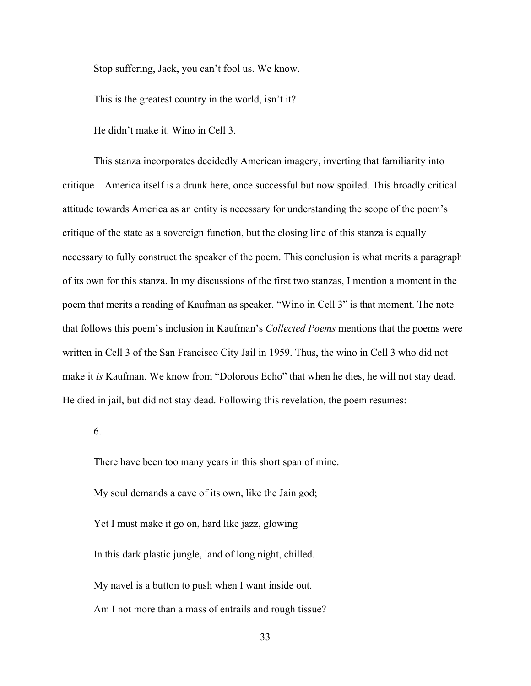Stop suffering, Jack, you can't fool us. We know.

This is the greatest country in the world, isn't it?

He didn't make it. Wino in Cell 3.

This stanza incorporates decidedly American imagery, inverting that familiarity into critique—America itself is a drunk here, once successful but now spoiled. This broadly critical attitude towards America as an entity is necessary for understanding the scope of the poem's critique of the state as a sovereign function, but the closing line of this stanza is equally necessary to fully construct the speaker of the poem. This conclusion is what merits a paragraph of its own for this stanza. In my discussions of the first two stanzas, I mention a moment in the poem that merits a reading of Kaufman as speaker. "Wino in Cell 3" is that moment. The note that follows this poem's inclusion in Kaufman's *Collected Poems* mentions that the poems were written in Cell 3 of the San Francisco City Jail in 1959. Thus, the wino in Cell 3 who did not make it *is* Kaufman. We know from "Dolorous Echo" that when he dies, he will not stay dead. He died in jail, but did not stay dead. Following this revelation, the poem resumes:

6.

There have been too many years in this short span of mine. My soul demands a cave of its own, like the Jain god; Yet I must make it go on, hard like jazz, glowing In this dark plastic jungle, land of long night, chilled. My navel is a button to push when I want inside out. Am I not more than a mass of entrails and rough tissue?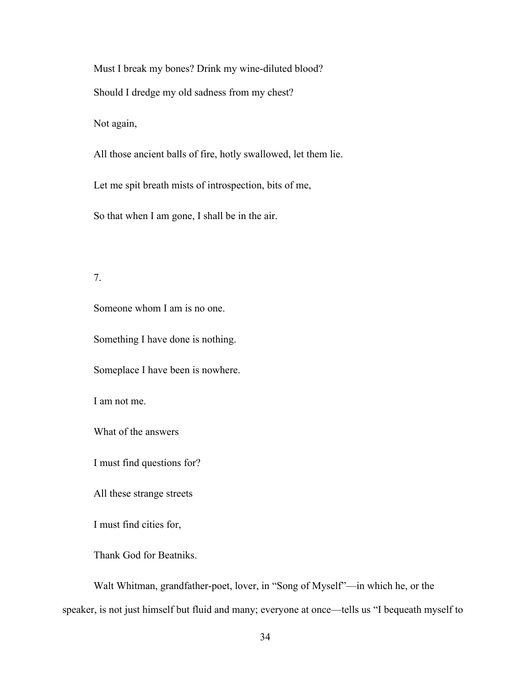Must I break my bones? Drink my wine-diluted blood? Should I dredge my old sadness from my chest?

Not again,

All those ancient balls of fire, hotly swallowed, let them lie.

Let me spit breath mists of introspection, bits of me,

So that when I am gone, I shall be in the air.

7.

Someone whom I am is no one.

Something I have done is nothing.

Someplace I have been is nowhere.

I am not me.

What of the answers

I must find questions for?

All these strange streets

I must find cities for,

Thank God for Beatniks.

Walt Whitman, grandfather-poet, lover, in "Song of Myself"—in which he, or the speaker, is not just himself but fluid and many; everyone at once—tells us "I bequeath myself to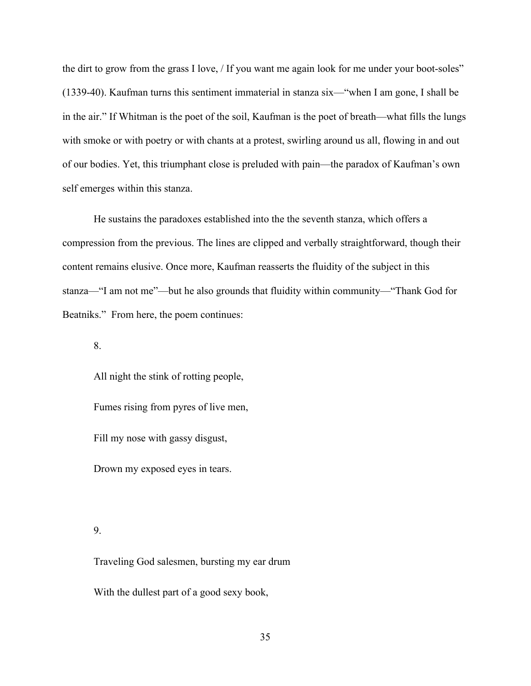the dirt to grow from the grass I love, / If you want me again look for me under your boot-soles" (1339-40). Kaufman turns this sentiment immaterial in stanza six—"when I am gone, I shall be in the air." If Whitman is the poet of the soil, Kaufman is the poet of breath—what fills the lungs with smoke or with poetry or with chants at a protest, swirling around us all, flowing in and out of our bodies. Yet, this triumphant close is preluded with pain—the paradox of Kaufman's own self emerges within this stanza.

He sustains the paradoxes established into the the seventh stanza, which offers a compression from the previous. The lines are clipped and verbally straightforward, though their content remains elusive. Once more, Kaufman reasserts the fluidity of the subject in this stanza—"I am not me"—but he also grounds that fluidity within community—"Thank God for Beatniks." From here, the poem continues:

8.

All night the stink of rotting people, Fumes rising from pyres of live men, Fill my nose with gassy disgust, Drown my exposed eyes in tears.

9.

Traveling God salesmen, bursting my ear drum With the dullest part of a good sexy book,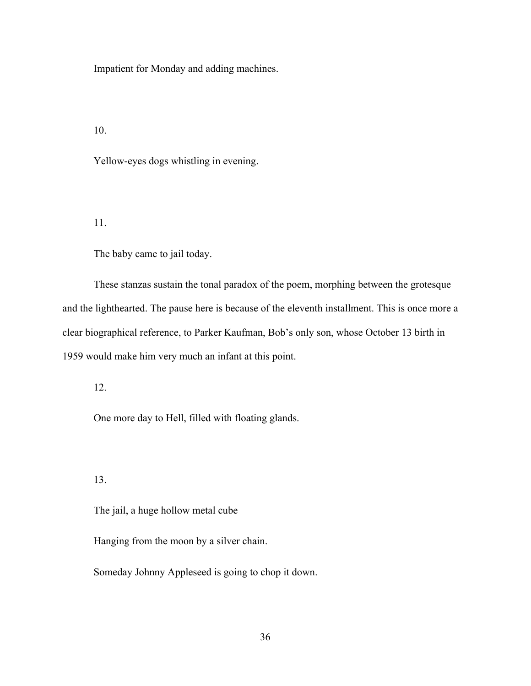Impatient for Monday and adding machines.

10.

Yellow-eyes dogs whistling in evening.

11.

The baby came to jail today.

These stanzas sustain the tonal paradox of the poem, morphing between the grotesque and the lighthearted. The pause here is because of the eleventh installment. This is once more a clear biographical reference, to Parker Kaufman, Bob's only son, whose October 13 birth in 1959 would make him very much an infant at this point.

12.

One more day to Hell, filled with floating glands.

13.

The jail, a huge hollow metal cube

Hanging from the moon by a silver chain.

Someday Johnny Appleseed is going to chop it down.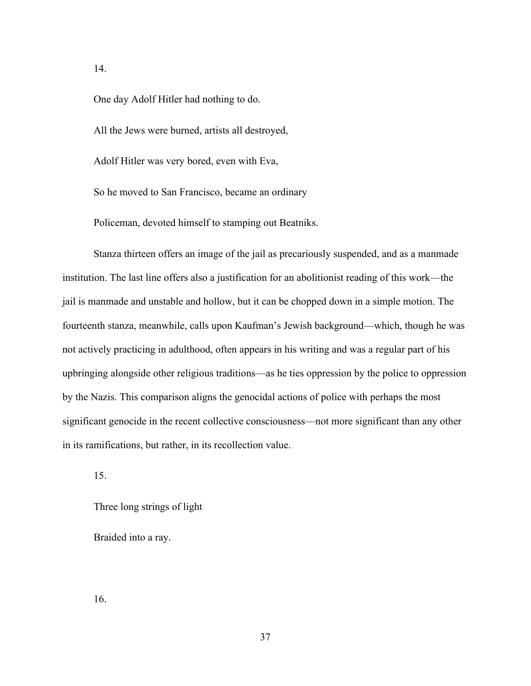14.

One day Adolf Hitler had nothing to do.

All the Jews were burned, artists all destroyed,

Adolf Hitler was very bored, even with Eva,

So he moved to San Francisco, became an ordinary

Policeman, devoted himself to stamping out Beatniks.

Stanza thirteen offers an image of the jail as precariously suspended, and as a manmade institution. The last line offers also a justification for an abolitionist reading of this work—the jail is manmade and unstable and hollow, but it can be chopped down in a simple motion. The fourteenth stanza, meanwhile, calls upon Kaufman's Jewish background—which, though he was not actively practicing in adulthood, often appears in his writing and was a regular part of his upbringing alongside other religious traditions—as he ties oppression by the police to oppression by the Nazis. This comparison aligns the genocidal actions of police with perhaps the most significant genocide in the recent collective consciousness—not more significant than any other in its ramifications, but rather, in its recollection value.

15.

Three long strings of light

Braided into a ray.

16.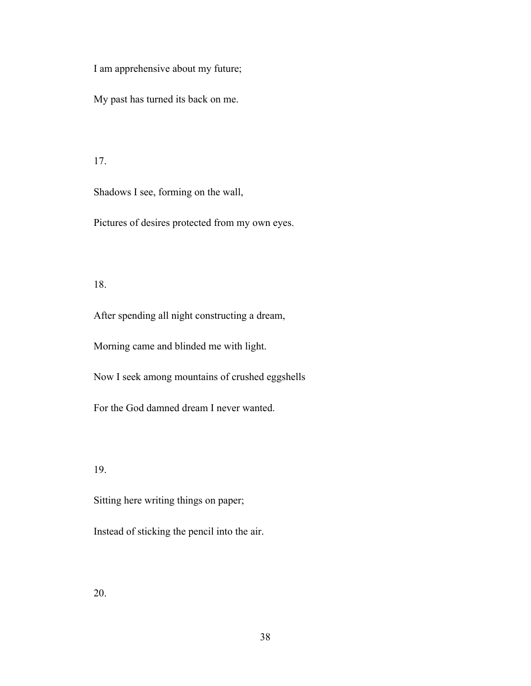I am apprehensive about my future;

My past has turned its back on me.

17.

Shadows I see, forming on the wall,

Pictures of desires protected from my own eyes.

18.

After spending all night constructing a dream,

Morning came and blinded me with light.

Now I seek among mountains of crushed eggshells

For the God damned dream I never wanted.

19.

Sitting here writing things on paper;

Instead of sticking the pencil into the air.

20.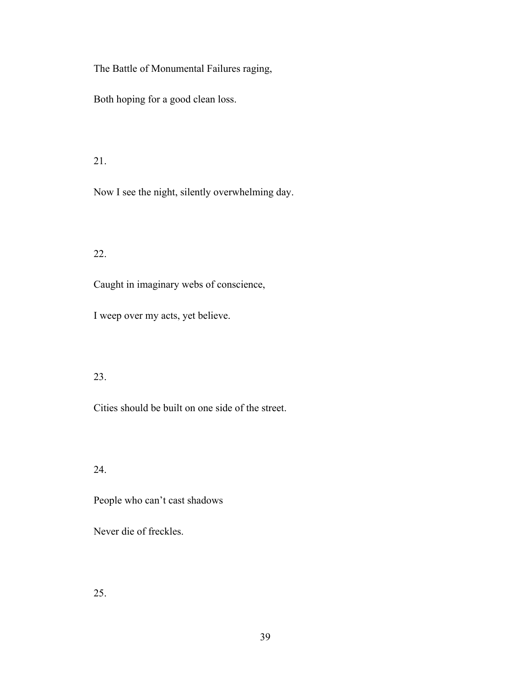The Battle of Monumental Failures raging,

Both hoping for a good clean loss.

# 21.

Now I see the night, silently overwhelming day.

# 22.

Caught in imaginary webs of conscience,

I weep over my acts, yet believe.

# 23.

Cities should be built on one side of the street.

# 24.

People who can't cast shadows

Never die of freckles.

# 25.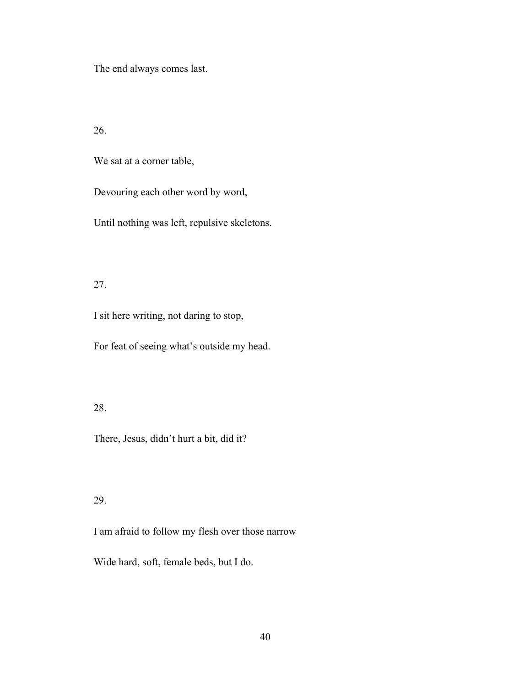The end always comes last.

26.

We sat at a corner table,

Devouring each other word by word,

Until nothing was left, repulsive skeletons.

27.

I sit here writing, not daring to stop,

For feat of seeing what's outside my head.

28.

There, Jesus, didn't hurt a bit, did it?

29.

I am afraid to follow my flesh over those narrow

Wide hard, soft, female beds, but I do.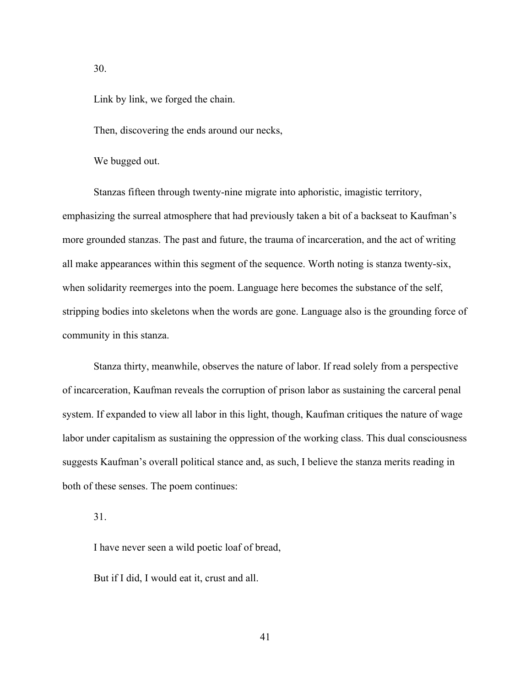30.

Link by link, we forged the chain.

Then, discovering the ends around our necks,

We bugged out.

Stanzas fifteen through twenty-nine migrate into aphoristic, imagistic territory, emphasizing the surreal atmosphere that had previously taken a bit of a backseat to Kaufman's more grounded stanzas. The past and future, the trauma of incarceration, and the act of writing all make appearances within this segment of the sequence. Worth noting is stanza twenty-six, when solidarity reemerges into the poem. Language here becomes the substance of the self, stripping bodies into skeletons when the words are gone. Language also is the grounding force of community in this stanza.

Stanza thirty, meanwhile, observes the nature of labor. If read solely from a perspective of incarceration, Kaufman reveals the corruption of prison labor as sustaining the carceral penal system. If expanded to view all labor in this light, though, Kaufman critiques the nature of wage labor under capitalism as sustaining the oppression of the working class. This dual consciousness suggests Kaufman's overall political stance and, as such, I believe the stanza merits reading in both of these senses. The poem continues:

31.

I have never seen a wild poetic loaf of bread,

But if I did, I would eat it, crust and all.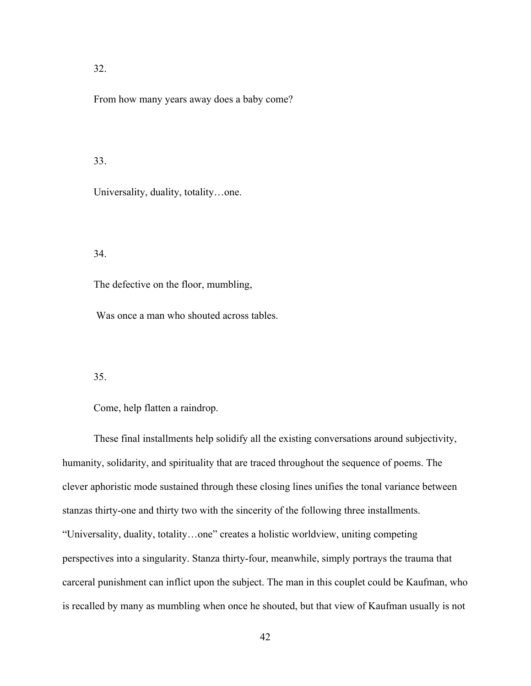# 32.

From how many years away does a baby come?

#### 33.

Universality, duality, totality…one.

## 34.

The defective on the floor, mumbling,

Was once a man who shouted across tables.

35.

Come, help flatten a raindrop.

These final installments help solidify all the existing conversations around subjectivity, humanity, solidarity, and spirituality that are traced throughout the sequence of poems. The clever aphoristic mode sustained through these closing lines unifies the tonal variance between stanzas thirty-one and thirty two with the sincerity of the following three installments. "Universality, duality, totality…one" creates a holistic worldview, uniting competing perspectives into a singularity. Stanza thirty-four, meanwhile, simply portrays the trauma that carceral punishment can inflict upon the subject. The man in this couplet could be Kaufman, who is recalled by many as mumbling when once he shouted, but that view of Kaufman usually is not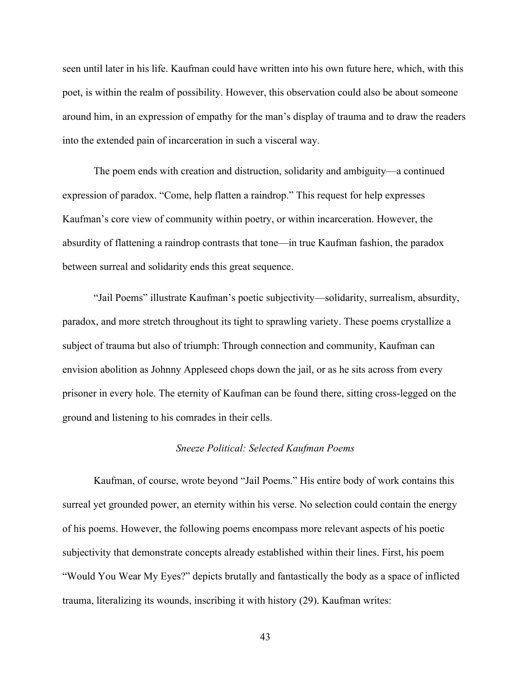seen until later in his life. Kaufman could have written into his own future here, which, with this poet, is within the realm of possibility. However, this observation could also be about someone around him, in an expression of empathy for the man's display of trauma and to draw the readers into the extended pain of incarceration in such a visceral way.

The poem ends with creation and distruction, solidarity and ambiguity—a continued expression of paradox. "Come, help flatten a raindrop." This request for help expresses Kaufman's core view of community within poetry, or within incarceration. However, the absurdity of flattening a raindrop contrasts that tone—in true Kaufman fashion, the paradox between surreal and solidarity ends this great sequence.

"Jail Poems" illustrate Kaufman's poetic subjectivity—solidarity, surrealism, absurdity, paradox, and more stretch throughout its tight to sprawling variety. These poems crystallize a subject of trauma but also of triumph: Through connection and community, Kaufman can envision abolition as Johnny Appleseed chops down the jail, or as he sits across from every prisoner in every hole. The eternity of Kaufman can be found there, sitting cross-legged on the ground and listening to his comrades in their cells.

## *Sneeze Political: Selected Kaufman Poems*

Kaufman, of course, wrote beyond "Jail Poems." His entire body of work contains this surreal yet grounded power, an eternity within his verse. No selection could contain the energy of his poems. However, the following poems encompass more relevant aspects of his poetic subjectivity that demonstrate concepts already established within their lines. First, his poem "Would You Wear My Eyes?" depicts brutally and fantastically the body as a space of inflicted trauma, literalizing its wounds, inscribing it with history (29). Kaufman writes: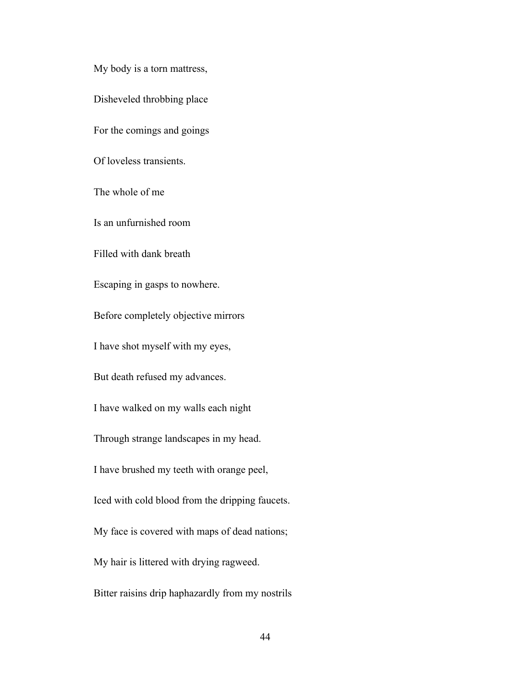My body is a torn mattress,

Disheveled throbbing place

For the comings and goings

Of loveless transients.

The whole of me

Is an unfurnished room

Filled with dank breath

Escaping in gasps to nowhere.

Before completely objective mirrors

I have shot myself with my eyes,

But death refused my advances.

I have walked on my walls each night

Through strange landscapes in my head.

I have brushed my teeth with orange peel,

Iced with cold blood from the dripping faucets.

My face is covered with maps of dead nations;

My hair is littered with drying ragweed.

Bitter raisins drip haphazardly from my nostrils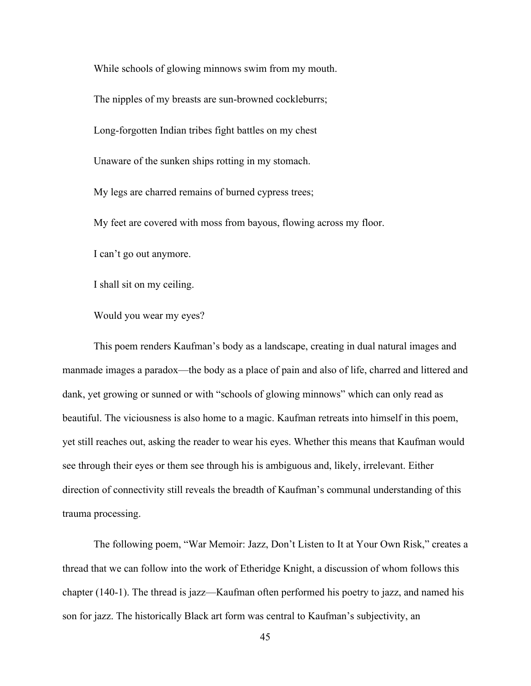While schools of glowing minnows swim from my mouth. The nipples of my breasts are sun-browned cockleburrs; Long-forgotten Indian tribes fight battles on my chest Unaware of the sunken ships rotting in my stomach. My legs are charred remains of burned cypress trees; My feet are covered with moss from bayous, flowing across my floor. I can't go out anymore. I shall sit on my ceiling.

Would you wear my eyes?

This poem renders Kaufman's body as a landscape, creating in dual natural images and manmade images a paradox—the body as a place of pain and also of life, charred and littered and dank, yet growing or sunned or with "schools of glowing minnows" which can only read as beautiful. The viciousness is also home to a magic. Kaufman retreats into himself in this poem, yet still reaches out, asking the reader to wear his eyes. Whether this means that Kaufman would see through their eyes or them see through his is ambiguous and, likely, irrelevant. Either direction of connectivity still reveals the breadth of Kaufman's communal understanding of this trauma processing.

The following poem, "War Memoir: Jazz, Don't Listen to It at Your Own Risk," creates a thread that we can follow into the work of Etheridge Knight, a discussion of whom follows this chapter (140-1). The thread is jazz—Kaufman often performed his poetry to jazz, and named his son for jazz. The historically Black art form was central to Kaufman's subjectivity, an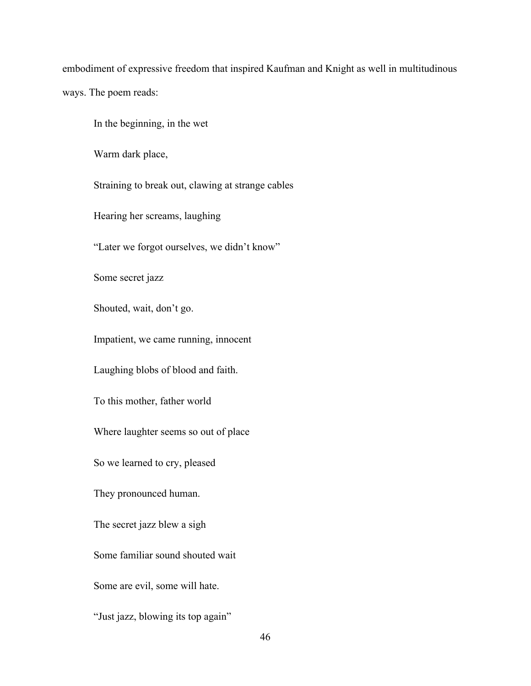embodiment of expressive freedom that inspired Kaufman and Knight as well in multitudinous ways. The poem reads:

In the beginning, in the wet

Warm dark place,

Straining to break out, clawing at strange cables

Hearing her screams, laughing

"Later we forgot ourselves, we didn't know"

Some secret jazz

Shouted, wait, don't go.

Impatient, we came running, innocent

Laughing blobs of blood and faith.

To this mother, father world

Where laughter seems so out of place

So we learned to cry, pleased

They pronounced human.

The secret jazz blew a sigh

Some familiar sound shouted wait

Some are evil, some will hate.

"Just jazz, blowing its top again"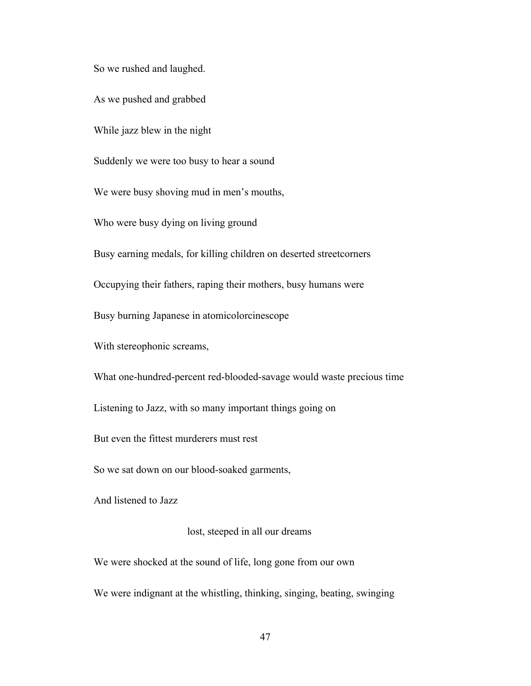So we rushed and laughed.

As we pushed and grabbed

While jazz blew in the night

Suddenly we were too busy to hear a sound

We were busy shoving mud in men's mouths,

Who were busy dying on living ground

Busy earning medals, for killing children on deserted streetcorners

Occupying their fathers, raping their mothers, busy humans were

Busy burning Japanese in atomicolorcinescope

With stereophonic screams,

What one-hundred-percent red-blooded-savage would waste precious time

Listening to Jazz, with so many important things going on

But even the fittest murderers must rest

So we sat down on our blood-soaked garments,

And listened to Jazz

#### lost, steeped in all our dreams

We were shocked at the sound of life, long gone from our own

We were indignant at the whistling, thinking, singing, beating, swinging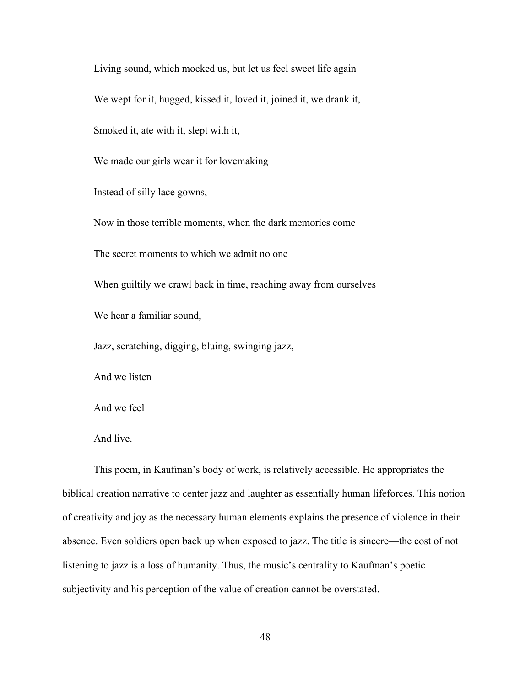Living sound, which mocked us, but let us feel sweet life again

We wept for it, hugged, kissed it, loved it, joined it, we drank it,

Smoked it, ate with it, slept with it,

We made our girls wear it for lovemaking

Instead of silly lace gowns,

Now in those terrible moments, when the dark memories come

The secret moments to which we admit no one

When guiltily we crawl back in time, reaching away from ourselves

We hear a familiar sound,

Jazz, scratching, digging, bluing, swinging jazz,

And we listen

And we feel

And live.

This poem, in Kaufman's body of work, is relatively accessible. He appropriates the biblical creation narrative to center jazz and laughter as essentially human lifeforces. This notion of creativity and joy as the necessary human elements explains the presence of violence in their absence. Even soldiers open back up when exposed to jazz. The title is sincere—the cost of not listening to jazz is a loss of humanity. Thus, the music's centrality to Kaufman's poetic subjectivity and his perception of the value of creation cannot be overstated.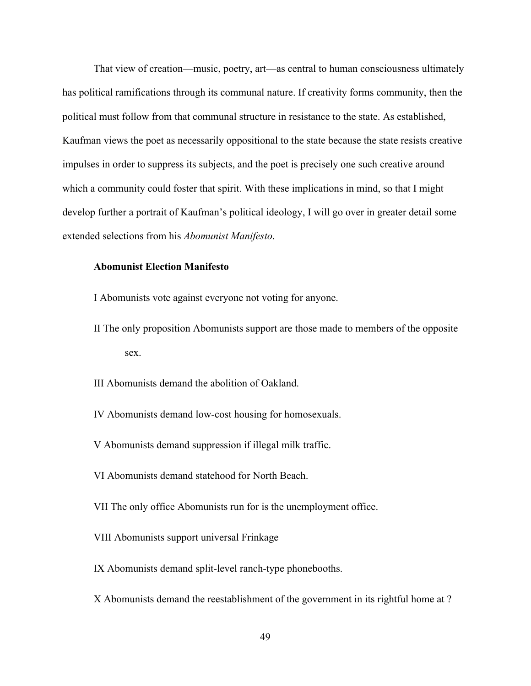That view of creation—music, poetry, art—as central to human consciousness ultimately has political ramifications through its communal nature. If creativity forms community, then the political must follow from that communal structure in resistance to the state. As established, Kaufman views the poet as necessarily oppositional to the state because the state resists creative impulses in order to suppress its subjects, and the poet is precisely one such creative around which a community could foster that spirit. With these implications in mind, so that I might develop further a portrait of Kaufman's political ideology, I will go over in greater detail some extended selections from his *Abomunist Manifesto*.

## **Abomunist Election Manifesto**

- I Abomunists vote against everyone not voting for anyone.
- II The only proposition Abomunists support are those made to members of the opposite sex.
- III Abomunists demand the abolition of Oakland.
- IV Abomunists demand low-cost housing for homosexuals.
- V Abomunists demand suppression if illegal milk traffic.
- VI Abomunists demand statehood for North Beach.
- VII The only office Abomunists run for is the unemployment office.
- VIII Abomunists support universal Frinkage
- IX Abomunists demand split-level ranch-type phonebooths.
- X Abomunists demand the reestablishment of the government in its rightful home at ?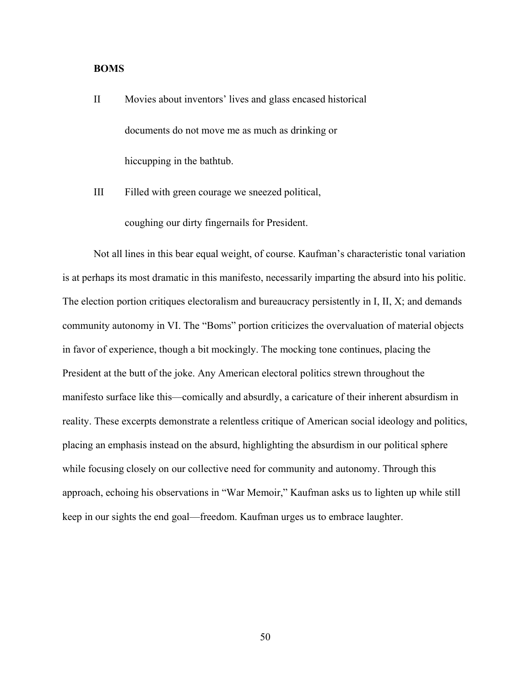## **BOMS**

- II Movies about inventors' lives and glass encased historical documents do not move me as much as drinking or hiccupping in the bathtub.
- III Filled with green courage we sneezed political,

coughing our dirty fingernails for President.

Not all lines in this bear equal weight, of course. Kaufman's characteristic tonal variation is at perhaps its most dramatic in this manifesto, necessarily imparting the absurd into his politic. The election portion critiques electoralism and bureaucracy persistently in I, II, X; and demands community autonomy in VI. The "Boms" portion criticizes the overvaluation of material objects in favor of experience, though a bit mockingly. The mocking tone continues, placing the President at the butt of the joke. Any American electoral politics strewn throughout the manifesto surface like this—comically and absurdly, a caricature of their inherent absurdism in reality. These excerpts demonstrate a relentless critique of American social ideology and politics, placing an emphasis instead on the absurd, highlighting the absurdism in our political sphere while focusing closely on our collective need for community and autonomy. Through this approach, echoing his observations in "War Memoir," Kaufman asks us to lighten up while still keep in our sights the end goal—freedom. Kaufman urges us to embrace laughter.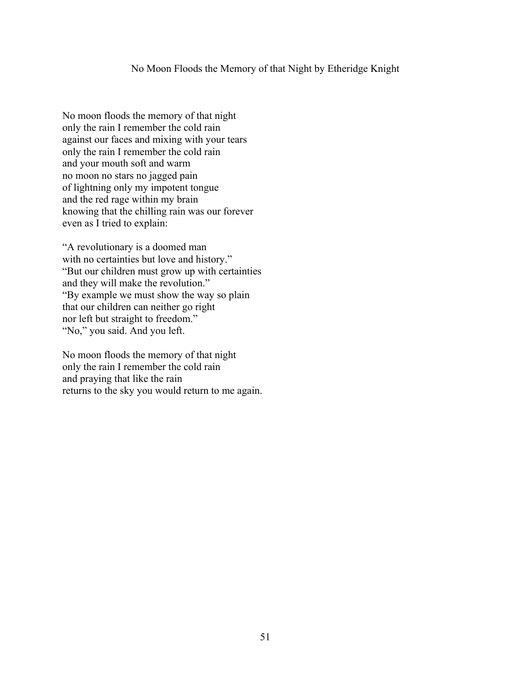## No Moon Floods the Memory of that Night by Etheridge Knight

No moon floods the memory of that night only the rain I remember the cold rain against our faces and mixing with your tears only the rain I remember the cold rain and your mouth soft and warm no moon no stars no jagged pain of lightning only my impotent tongue and the red rage within my brain knowing that the chilling rain was our forever even as I tried to explain:

"A revolutionary is a doomed man with no certainties but love and history." "But our children must grow up with certainties and they will make the revolution." "By example we must show the way so plain that our children can neither go right nor left but straight to freedom." "No," you said. And you left.

No moon floods the memory of that night only the rain I remember the cold rain and praying that like the rain returns to the sky you would return to me again.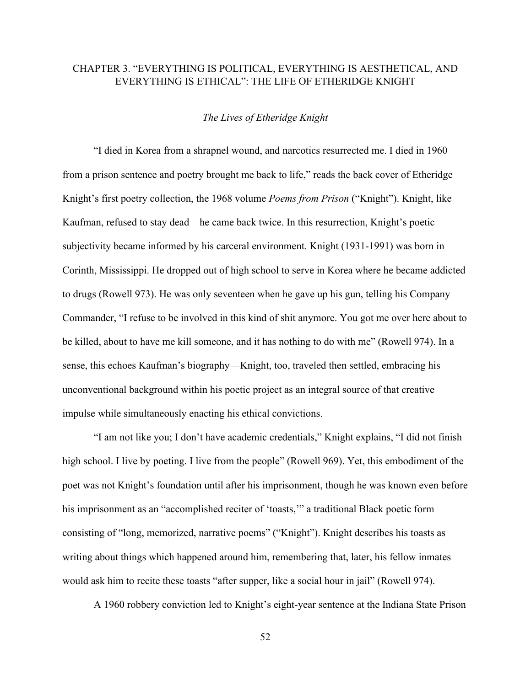# CHAPTER 3. "EVERYTHING IS POLITICAL, EVERYTHING IS AESTHETICAL, AND EVERYTHING IS ETHICAL": THE LIFE OF ETHERIDGE KNIGHT

## *The Lives of Etheridge Knight*

"I died in Korea from a shrapnel wound, and narcotics resurrected me. I died in 1960 from a prison sentence and poetry brought me back to life," reads the back cover of Etheridge Knight's first poetry collection, the 1968 volume *Poems from Prison* ("Knight"). Knight, like Kaufman, refused to stay dead—he came back twice. In this resurrection, Knight's poetic subjectivity became informed by his carceral environment. Knight (1931-1991) was born in Corinth, Mississippi. He dropped out of high school to serve in Korea where he became addicted to drugs (Rowell 973). He was only seventeen when he gave up his gun, telling his Company Commander, "I refuse to be involved in this kind of shit anymore. You got me over here about to be killed, about to have me kill someone, and it has nothing to do with me" (Rowell 974). In a sense, this echoes Kaufman's biography—Knight, too, traveled then settled, embracing his unconventional background within his poetic project as an integral source of that creative impulse while simultaneously enacting his ethical convictions.

"I am not like you; I don't have academic credentials," Knight explains, "I did not finish high school. I live by poeting. I live from the people" (Rowell 969). Yet, this embodiment of the poet was not Knight's foundation until after his imprisonment, though he was known even before his imprisonment as an "accomplished reciter of 'toasts," a traditional Black poetic form consisting of "long, memorized, narrative poems" ("Knight"). Knight describes his toasts as writing about things which happened around him, remembering that, later, his fellow inmates would ask him to recite these toasts "after supper, like a social hour in jail" (Rowell 974).

A 1960 robbery conviction led to Knight's eight-year sentence at the Indiana State Prison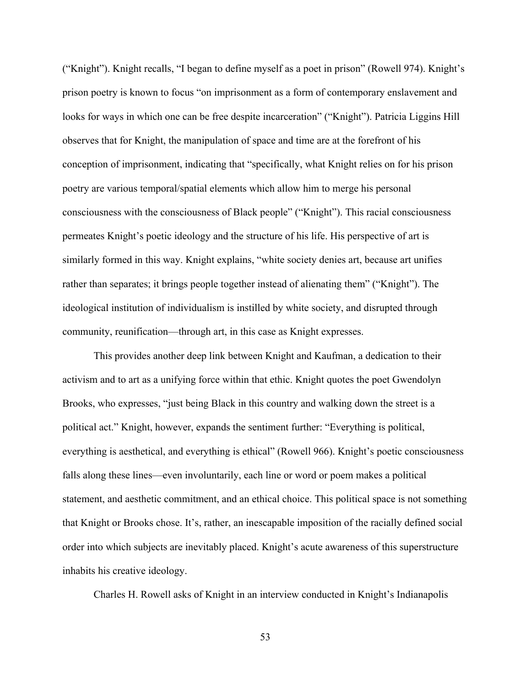("Knight"). Knight recalls, "I began to define myself as a poet in prison" (Rowell 974). Knight's prison poetry is known to focus "on imprisonment as a form of contemporary enslavement and looks for ways in which one can be free despite incarceration" ("Knight"). Patricia Liggins Hill observes that for Knight, the manipulation of space and time are at the forefront of his conception of imprisonment, indicating that "specifically, what Knight relies on for his prison poetry are various temporal/spatial elements which allow him to merge his personal consciousness with the consciousness of Black people" ("Knight"). This racial consciousness permeates Knight's poetic ideology and the structure of his life. His perspective of art is similarly formed in this way. Knight explains, "white society denies art, because art unifies rather than separates; it brings people together instead of alienating them" ("Knight"). The ideological institution of individualism is instilled by white society, and disrupted through community, reunification—through art, in this case as Knight expresses.

This provides another deep link between Knight and Kaufman, a dedication to their activism and to art as a unifying force within that ethic. Knight quotes the poet Gwendolyn Brooks, who expresses, "just being Black in this country and walking down the street is a political act." Knight, however, expands the sentiment further: "Everything is political, everything is aesthetical, and everything is ethical" (Rowell 966). Knight's poetic consciousness falls along these lines—even involuntarily, each line or word or poem makes a political statement, and aesthetic commitment, and an ethical choice. This political space is not something that Knight or Brooks chose. It's, rather, an inescapable imposition of the racially defined social order into which subjects are inevitably placed. Knight's acute awareness of this superstructure inhabits his creative ideology.

Charles H. Rowell asks of Knight in an interview conducted in Knight's Indianapolis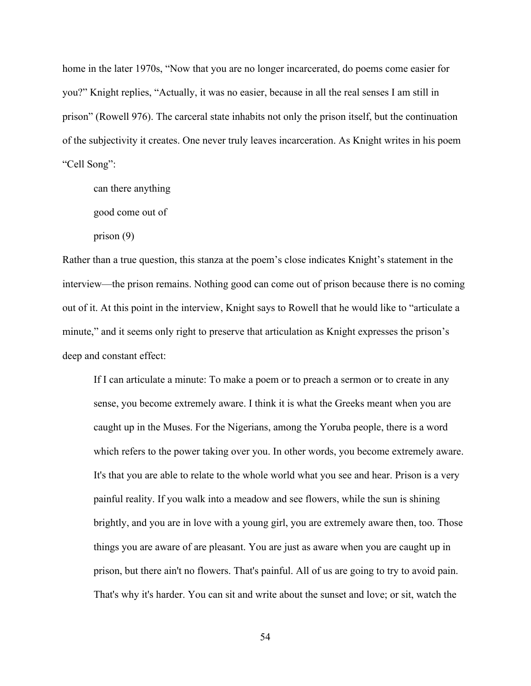home in the later 1970s, "Now that you are no longer incarcerated, do poems come easier for you?" Knight replies, "Actually, it was no easier, because in all the real senses I am still in prison" (Rowell 976). The carceral state inhabits not only the prison itself, but the continuation of the subjectivity it creates. One never truly leaves incarceration. As Knight writes in his poem "Cell Song":

can there anything

good come out of

prison (9)

Rather than a true question, this stanza at the poem's close indicates Knight's statement in the interview—the prison remains. Nothing good can come out of prison because there is no coming out of it. At this point in the interview, Knight says to Rowell that he would like to "articulate a minute," and it seems only right to preserve that articulation as Knight expresses the prison's deep and constant effect:

If I can articulate a minute: To make a poem or to preach a sermon or to create in any sense, you become extremely aware. I think it is what the Greeks meant when you are caught up in the Muses. For the Nigerians, among the Yoruba people, there is a word which refers to the power taking over you. In other words, you become extremely aware. It's that you are able to relate to the whole world what you see and hear. Prison is a very painful reality. If you walk into a meadow and see flowers, while the sun is shining brightly, and you are in love with a young girl, you are extremely aware then, too. Those things you are aware of are pleasant. You are just as aware when you are caught up in prison, but there ain't no flowers. That's painful. All of us are going to try to avoid pain. That's why it's harder. You can sit and write about the sunset and love; or sit, watch the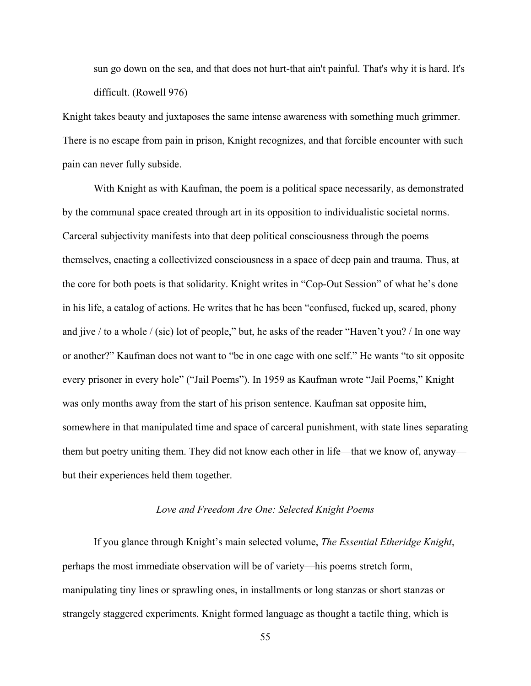sun go down on the sea, and that does not hurt-that ain't painful. That's why it is hard. It's difficult. (Rowell 976)

Knight takes beauty and juxtaposes the same intense awareness with something much grimmer. There is no escape from pain in prison, Knight recognizes, and that forcible encounter with such pain can never fully subside.

With Knight as with Kaufman, the poem is a political space necessarily, as demonstrated by the communal space created through art in its opposition to individualistic societal norms. Carceral subjectivity manifests into that deep political consciousness through the poems themselves, enacting a collectivized consciousness in a space of deep pain and trauma. Thus, at the core for both poets is that solidarity. Knight writes in "Cop-Out Session" of what he's done in his life, a catalog of actions. He writes that he has been "confused, fucked up, scared, phony and jive / to a whole / (sic) lot of people," but, he asks of the reader "Haven't you? / In one way or another?" Kaufman does not want to "be in one cage with one self." He wants "to sit opposite every prisoner in every hole" ("Jail Poems"). In 1959 as Kaufman wrote "Jail Poems," Knight was only months away from the start of his prison sentence. Kaufman sat opposite him, somewhere in that manipulated time and space of carceral punishment, with state lines separating them but poetry uniting them. They did not know each other in life—that we know of, anyway but their experiences held them together.

## *Love and Freedom Are One: Selected Knight Poems*

If you glance through Knight's main selected volume, *The Essential Etheridge Knight*, perhaps the most immediate observation will be of variety—his poems stretch form, manipulating tiny lines or sprawling ones, in installments or long stanzas or short stanzas or strangely staggered experiments. Knight formed language as thought a tactile thing, which is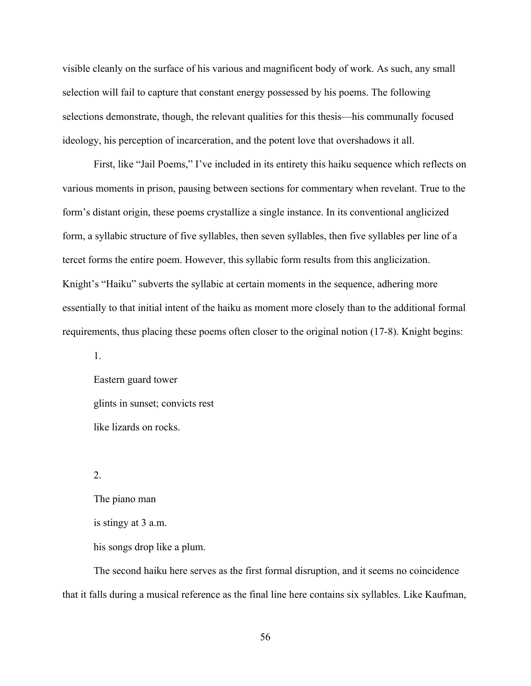visible cleanly on the surface of his various and magnificent body of work. As such, any small selection will fail to capture that constant energy possessed by his poems. The following selections demonstrate, though, the relevant qualities for this thesis—his communally focused ideology, his perception of incarceration, and the potent love that overshadows it all.

First, like "Jail Poems," I've included in its entirety this haiku sequence which reflects on various moments in prison, pausing between sections for commentary when revelant. True to the form's distant origin, these poems crystallize a single instance. In its conventional anglicized form, a syllabic structure of five syllables, then seven syllables, then five syllables per line of a tercet forms the entire poem. However, this syllabic form results from this anglicization. Knight's "Haiku" subverts the syllabic at certain moments in the sequence, adhering more essentially to that initial intent of the haiku as moment more closely than to the additional formal requirements, thus placing these poems often closer to the original notion (17-8). Knight begins:

1.

Eastern guard tower glints in sunset; convicts rest like lizards on rocks.

2.

The piano man is stingy at 3 a.m. his songs drop like a plum.

The second haiku here serves as the first formal disruption, and it seems no coincidence that it falls during a musical reference as the final line here contains six syllables. Like Kaufman,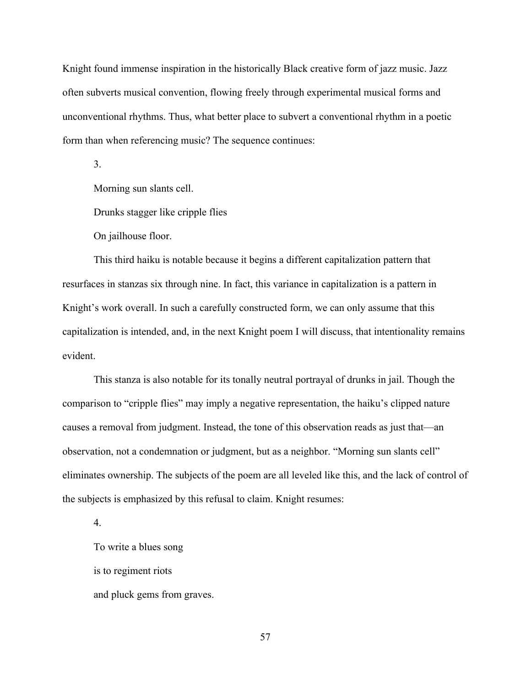Knight found immense inspiration in the historically Black creative form of jazz music. Jazz often subverts musical convention, flowing freely through experimental musical forms and unconventional rhythms. Thus, what better place to subvert a conventional rhythm in a poetic form than when referencing music? The sequence continues:

3.

Morning sun slants cell.

Drunks stagger like cripple flies

On jailhouse floor.

This third haiku is notable because it begins a different capitalization pattern that resurfaces in stanzas six through nine. In fact, this variance in capitalization is a pattern in Knight's work overall. In such a carefully constructed form, we can only assume that this capitalization is intended, and, in the next Knight poem I will discuss, that intentionality remains evident.

This stanza is also notable for its tonally neutral portrayal of drunks in jail. Though the comparison to "cripple flies" may imply a negative representation, the haiku's clipped nature causes a removal from judgment. Instead, the tone of this observation reads as just that—an observation, not a condemnation or judgment, but as a neighbor. "Morning sun slants cell" eliminates ownership. The subjects of the poem are all leveled like this, and the lack of control of the subjects is emphasized by this refusal to claim. Knight resumes:

4.

To write a blues song is to regiment riots and pluck gems from graves.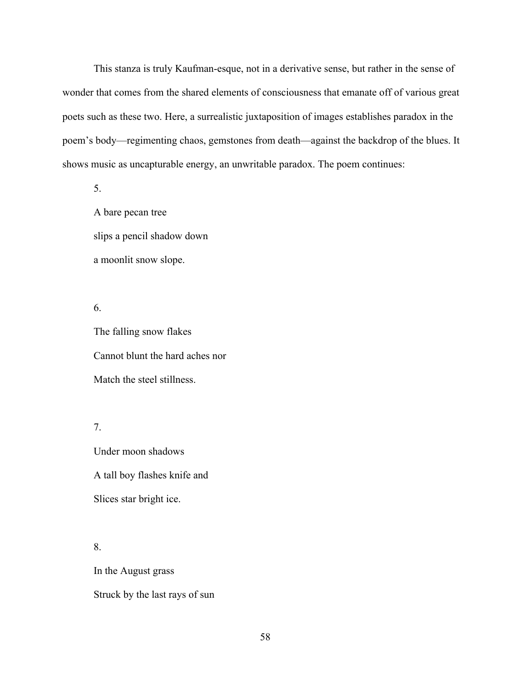This stanza is truly Kaufman-esque, not in a derivative sense, but rather in the sense of wonder that comes from the shared elements of consciousness that emanate off of various great poets such as these two. Here, a surrealistic juxtaposition of images establishes paradox in the poem's body—regimenting chaos, gemstones from death—against the backdrop of the blues. It shows music as uncapturable energy, an unwritable paradox. The poem continues:

5.

A bare pecan tree slips a pencil shadow down a moonlit snow slope.

6. The falling snow flakes Cannot blunt the hard aches nor Match the steel stillness.

7.

Under moon shadows A tall boy flashes knife and Slices star bright ice.

8.

In the August grass Struck by the last rays of sun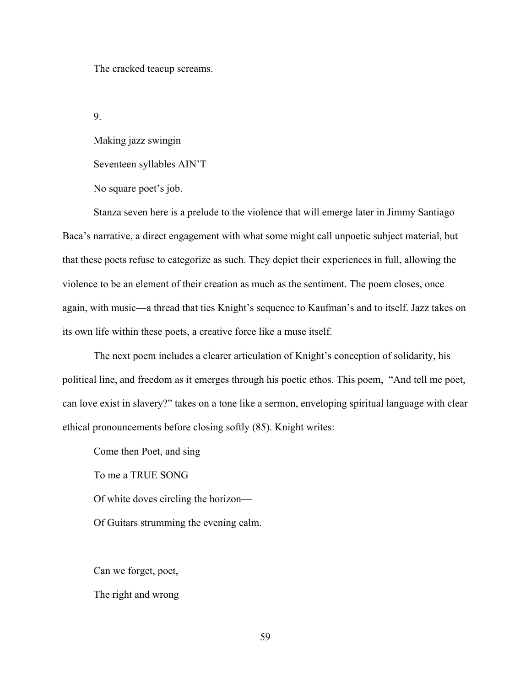The cracked teacup screams.

9.

Making jazz swingin

Seventeen syllables AIN'T

No square poet's job.

Stanza seven here is a prelude to the violence that will emerge later in Jimmy Santiago Baca's narrative, a direct engagement with what some might call unpoetic subject material, but that these poets refuse to categorize as such. They depict their experiences in full, allowing the violence to be an element of their creation as much as the sentiment. The poem closes, once again, with music—a thread that ties Knight's sequence to Kaufman's and to itself. Jazz takes on its own life within these poets, a creative force like a muse itself.

The next poem includes a clearer articulation of Knight's conception of solidarity, his political line, and freedom as it emerges through his poetic ethos. This poem, "And tell me poet, can love exist in slavery?" takes on a tone like a sermon, enveloping spiritual language with clear ethical pronouncements before closing softly (85). Knight writes:

Come then Poet, and sing

To me a TRUE SONG

Of white doves circling the horizon—

Of Guitars strumming the evening calm.

Can we forget, poet,

The right and wrong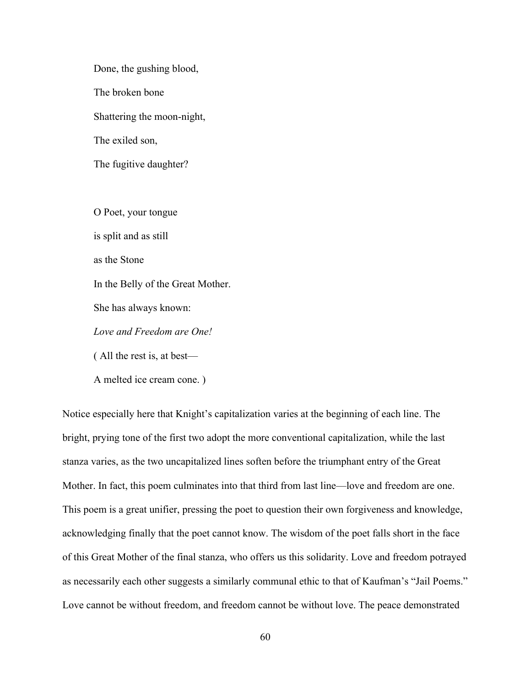Done, the gushing blood, The broken bone Shattering the moon-night, The exiled son, The fugitive daughter?

O Poet, your tongue is split and as still as the Stone In the Belly of the Great Mother. She has always known: *Love and Freedom are One!* ( All the rest is, at best—

A melted ice cream cone. )

Notice especially here that Knight's capitalization varies at the beginning of each line. The bright, prying tone of the first two adopt the more conventional capitalization, while the last stanza varies, as the two uncapitalized lines soften before the triumphant entry of the Great Mother. In fact, this poem culminates into that third from last line—love and freedom are one. This poem is a great unifier, pressing the poet to question their own forgiveness and knowledge, acknowledging finally that the poet cannot know. The wisdom of the poet falls short in the face of this Great Mother of the final stanza, who offers us this solidarity. Love and freedom potrayed as necessarily each other suggests a similarly communal ethic to that of Kaufman's "Jail Poems." Love cannot be without freedom, and freedom cannot be without love. The peace demonstrated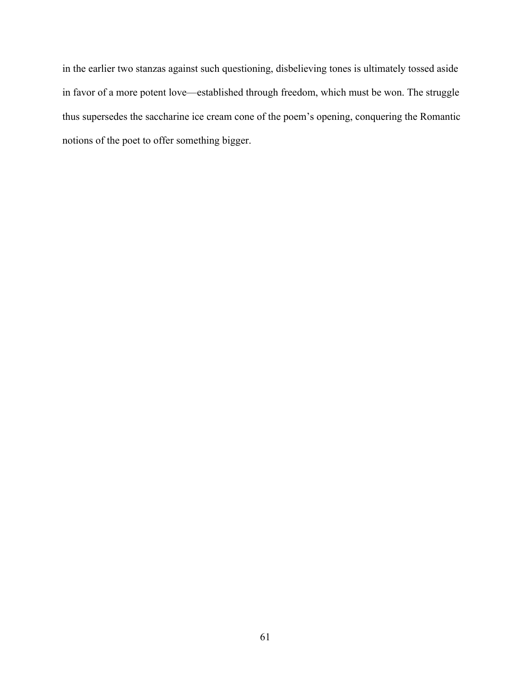in the earlier two stanzas against such questioning, disbelieving tones is ultimately tossed aside in favor of a more potent love—established through freedom, which must be won. The struggle thus supersedes the saccharine ice cream cone of the poem's opening, conquering the Romantic notions of the poet to offer something bigger.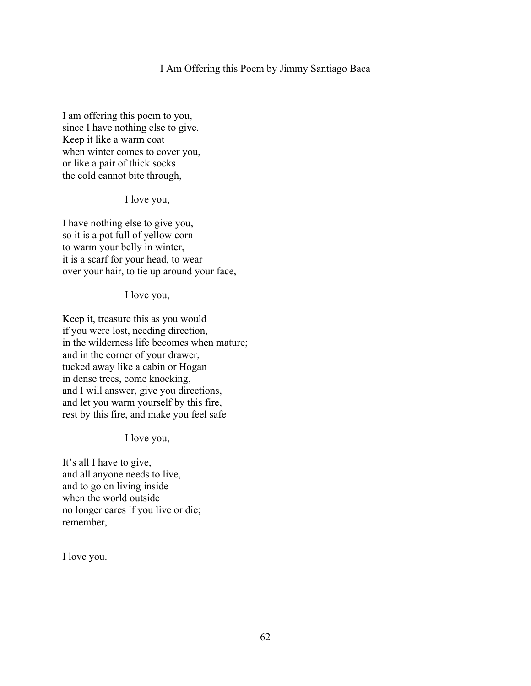## I Am Offering this Poem by Jimmy Santiago Baca

I am offering this poem to you, since I have nothing else to give. Keep it like a warm coat when winter comes to cover you, or like a pair of thick socks the cold cannot bite through,

## I love you,

I have nothing else to give you, so it is a pot full of yellow corn to warm your belly in winter, it is a scarf for your head, to wear over your hair, to tie up around your face,

## I love you,

Keep it, treasure this as you would if you were lost, needing direction, in the wilderness life becomes when mature; and in the corner of your drawer, tucked away like a cabin or Hogan in dense trees, come knocking, and I will answer, give you directions, and let you warm yourself by this fire, rest by this fire, and make you feel safe

## I love you,

It's all I have to give, and all anyone needs to live, and to go on living inside when the world outside no longer cares if you live or die; remember,

I love you.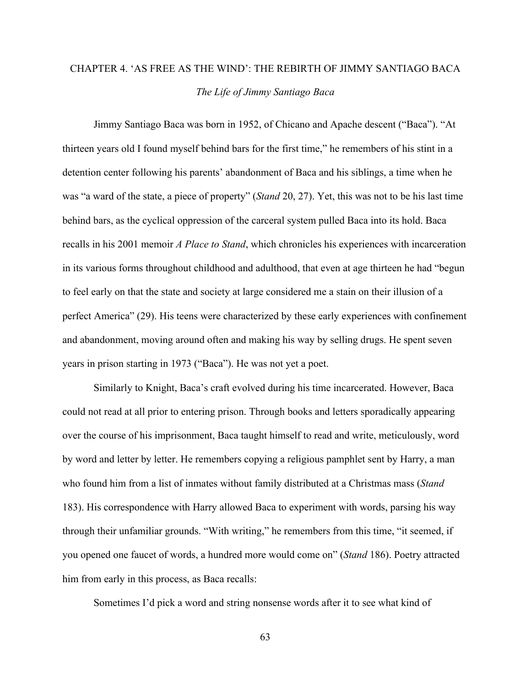# CHAPTER 4. 'AS FREE AS THE WIND': THE REBIRTH OF JIMMY SANTIAGO BACA *The Life of Jimmy Santiago Baca*

Jimmy Santiago Baca was born in 1952, of Chicano and Apache descent ("Baca"). "At thirteen years old I found myself behind bars for the first time," he remembers of his stint in a detention center following his parents' abandonment of Baca and his siblings, a time when he was "a ward of the state, a piece of property" (*Stand* 20, 27). Yet, this was not to be his last time behind bars, as the cyclical oppression of the carceral system pulled Baca into its hold. Baca recalls in his 2001 memoir *A Place to Stand*, which chronicles his experiences with incarceration in its various forms throughout childhood and adulthood, that even at age thirteen he had "begun to feel early on that the state and society at large considered me a stain on their illusion of a perfect America" (29). His teens were characterized by these early experiences with confinement and abandonment, moving around often and making his way by selling drugs. He spent seven years in prison starting in 1973 ("Baca"). He was not yet a poet.

Similarly to Knight, Baca's craft evolved during his time incarcerated. However, Baca could not read at all prior to entering prison. Through books and letters sporadically appearing over the course of his imprisonment, Baca taught himself to read and write, meticulously, word by word and letter by letter. He remembers copying a religious pamphlet sent by Harry, a man who found him from a list of inmates without family distributed at a Christmas mass (*Stand* 183). His correspondence with Harry allowed Baca to experiment with words, parsing his way through their unfamiliar grounds. "With writing," he remembers from this time, "it seemed, if you opened one faucet of words, a hundred more would come on" (*Stand* 186). Poetry attracted him from early in this process, as Baca recalls:

Sometimes I'd pick a word and string nonsense words after it to see what kind of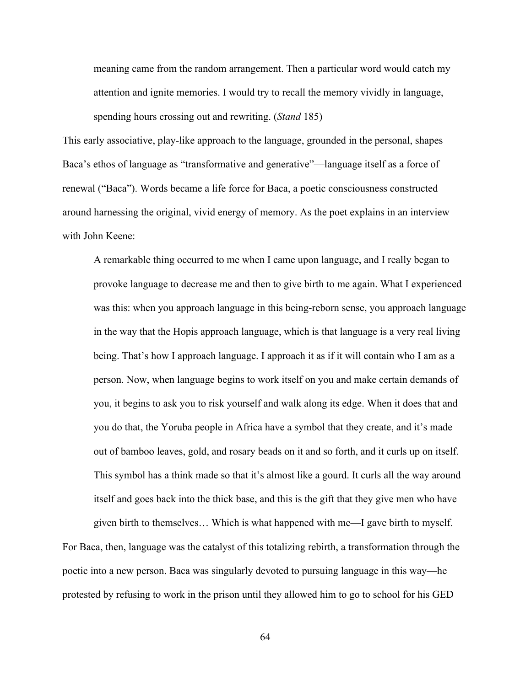meaning came from the random arrangement. Then a particular word would catch my attention and ignite memories. I would try to recall the memory vividly in language, spending hours crossing out and rewriting. (*Stand* 185)

This early associative, play-like approach to the language, grounded in the personal, shapes Baca's ethos of language as "transformative and generative"—language itself as a force of renewal ("Baca"). Words became a life force for Baca, a poetic consciousness constructed around harnessing the original, vivid energy of memory. As the poet explains in an interview with John Keene:

A remarkable thing occurred to me when I came upon language, and I really began to provoke language to decrease me and then to give birth to me again. What I experienced was this: when you approach language in this being-reborn sense, you approach language in the way that the Hopis approach language, which is that language is a very real living being. That's how I approach language. I approach it as if it will contain who I am as a person. Now, when language begins to work itself on you and make certain demands of you, it begins to ask you to risk yourself and walk along its edge. When it does that and you do that, the Yoruba people in Africa have a symbol that they create, and it's made out of bamboo leaves, gold, and rosary beads on it and so forth, and it curls up on itself. This symbol has a think made so that it's almost like a gourd. It curls all the way around itself and goes back into the thick base, and this is the gift that they give men who have

given birth to themselves… Which is what happened with me—I gave birth to myself. For Baca, then, language was the catalyst of this totalizing rebirth, a transformation through the poetic into a new person. Baca was singularly devoted to pursuing language in this way—he protested by refusing to work in the prison until they allowed him to go to school for his GED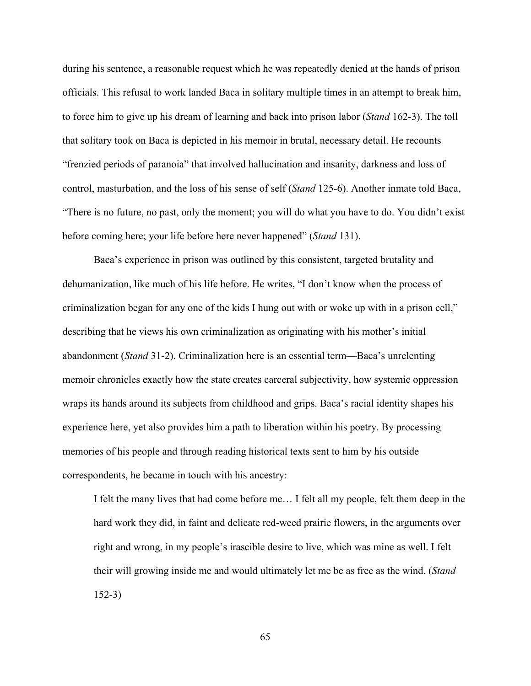during his sentence, a reasonable request which he was repeatedly denied at the hands of prison officials. This refusal to work landed Baca in solitary multiple times in an attempt to break him, to force him to give up his dream of learning and back into prison labor (*Stand* 162-3). The toll that solitary took on Baca is depicted in his memoir in brutal, necessary detail. He recounts "frenzied periods of paranoia" that involved hallucination and insanity, darkness and loss of control, masturbation, and the loss of his sense of self (*Stand* 125-6). Another inmate told Baca, "There is no future, no past, only the moment; you will do what you have to do. You didn't exist before coming here; your life before here never happened" (*Stand* 131).

Baca's experience in prison was outlined by this consistent, targeted brutality and dehumanization, like much of his life before. He writes, "I don't know when the process of criminalization began for any one of the kids I hung out with or woke up with in a prison cell," describing that he views his own criminalization as originating with his mother's initial abandonment (*Stand* 31-2). Criminalization here is an essential term—Baca's unrelenting memoir chronicles exactly how the state creates carceral subjectivity, how systemic oppression wraps its hands around its subjects from childhood and grips. Baca's racial identity shapes his experience here, yet also provides him a path to liberation within his poetry. By processing memories of his people and through reading historical texts sent to him by his outside correspondents, he became in touch with his ancestry:

I felt the many lives that had come before me… I felt all my people, felt them deep in the hard work they did, in faint and delicate red-weed prairie flowers, in the arguments over right and wrong, in my people's irascible desire to live, which was mine as well. I felt their will growing inside me and would ultimately let me be as free as the wind. (*Stand* 152-3)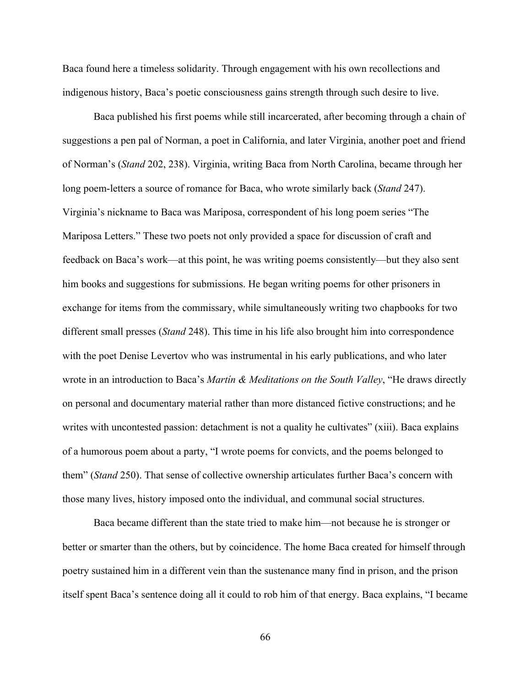Baca found here a timeless solidarity. Through engagement with his own recollections and indigenous history, Baca's poetic consciousness gains strength through such desire to live.

Baca published his first poems while still incarcerated, after becoming through a chain of suggestions a pen pal of Norman, a poet in California, and later Virginia, another poet and friend of Norman's (*Stand* 202, 238). Virginia, writing Baca from North Carolina, became through her long poem-letters a source of romance for Baca, who wrote similarly back (*Stand* 247). Virginia's nickname to Baca was Mariposa, correspondent of his long poem series "The Mariposa Letters." These two poets not only provided a space for discussion of craft and feedback on Baca's work—at this point, he was writing poems consistently—but they also sent him books and suggestions for submissions. He began writing poems for other prisoners in exchange for items from the commissary, while simultaneously writing two chapbooks for two different small presses (*Stand* 248). This time in his life also brought him into correspondence with the poet Denise Levertov who was instrumental in his early publications, and who later wrote in an introduction to Baca's *Martín & Meditations on the South Valley*, "He draws directly on personal and documentary material rather than more distanced fictive constructions; and he writes with uncontested passion: detachment is not a quality he cultivates" (xiii). Baca explains of a humorous poem about a party, "I wrote poems for convicts, and the poems belonged to them" (*Stand* 250). That sense of collective ownership articulates further Baca's concern with those many lives, history imposed onto the individual, and communal social structures.

Baca became different than the state tried to make him—not because he is stronger or better or smarter than the others, but by coincidence. The home Baca created for himself through poetry sustained him in a different vein than the sustenance many find in prison, and the prison itself spent Baca's sentence doing all it could to rob him of that energy. Baca explains, "I became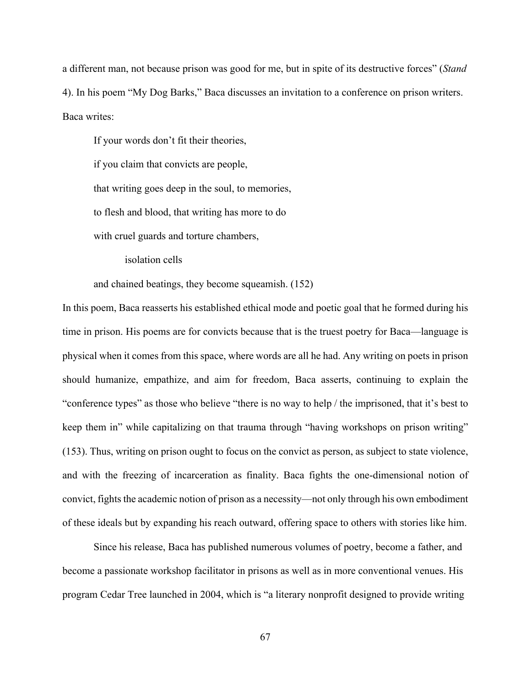a different man, not because prison was good for me, but in spite of its destructive forces" (*Stand* 4). In his poem "My Dog Barks," Baca discusses an invitation to a conference on prison writers. Baca writes:

If your words don't fit their theories,

if you claim that convicts are people,

that writing goes deep in the soul, to memories,

to flesh and blood, that writing has more to do

with cruel guards and torture chambers,

isolation cells

and chained beatings, they become squeamish. (152)

In this poem, Baca reasserts his established ethical mode and poetic goal that he formed during his time in prison. His poems are for convicts because that is the truest poetry for Baca—language is physical when it comes from this space, where words are all he had. Any writing on poets in prison should humanize, empathize, and aim for freedom, Baca asserts, continuing to explain the "conference types" as those who believe "there is no way to help / the imprisoned, that it's best to keep them in" while capitalizing on that trauma through "having workshops on prison writing" (153). Thus, writing on prison ought to focus on the convict as person, as subject to state violence, and with the freezing of incarceration as finality. Baca fights the one-dimensional notion of convict, fights the academic notion of prison as a necessity—not only through his own embodiment of these ideals but by expanding his reach outward, offering space to others with stories like him.

Since his release, Baca has published numerous volumes of poetry, become a father, and become a passionate workshop facilitator in prisons as well as in more conventional venues. His program Cedar Tree launched in 2004, which is "a literary nonprofit designed to provide writing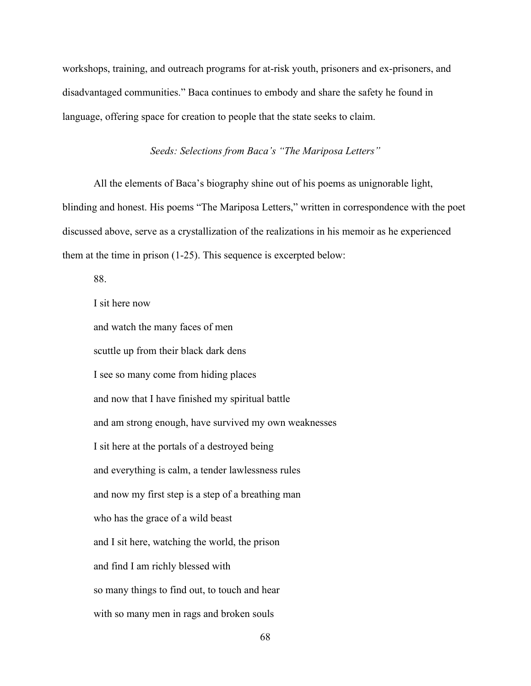workshops, training, and outreach programs for at-risk youth, prisoners and ex-prisoners, and disadvantaged communities." Baca continues to embody and share the safety he found in language, offering space for creation to people that the state seeks to claim.

## *Seeds: Selections from Baca's "The Mariposa Letters"*

All the elements of Baca's biography shine out of his poems as unignorable light, blinding and honest. His poems "The Mariposa Letters," written in correspondence with the poet discussed above, serve as a crystallization of the realizations in his memoir as he experienced them at the time in prison (1-25). This sequence is excerpted below:

88.

I sit here now and watch the many faces of men scuttle up from their black dark dens I see so many come from hiding places and now that I have finished my spiritual battle and am strong enough, have survived my own weaknesses I sit here at the portals of a destroyed being and everything is calm, a tender lawlessness rules and now my first step is a step of a breathing man who has the grace of a wild beast and I sit here, watching the world, the prison and find I am richly blessed with so many things to find out, to touch and hear with so many men in rags and broken souls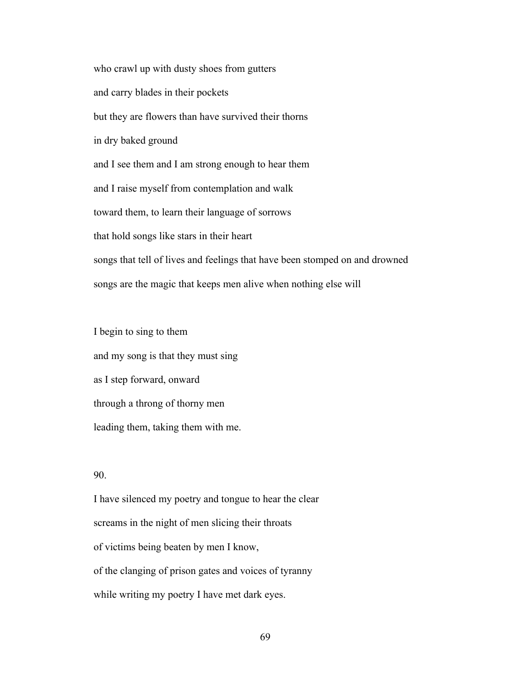who crawl up with dusty shoes from gutters and carry blades in their pockets but they are flowers than have survived their thorns in dry baked ground and I see them and I am strong enough to hear them and I raise myself from contemplation and walk toward them, to learn their language of sorrows that hold songs like stars in their heart songs that tell of lives and feelings that have been stomped on and drowned songs are the magic that keeps men alive when nothing else will

I begin to sing to them and my song is that they must sing as I step forward, onward through a throng of thorny men leading them, taking them with me.

## 90.

I have silenced my poetry and tongue to hear the clear screams in the night of men slicing their throats of victims being beaten by men I know, of the clanging of prison gates and voices of tyranny while writing my poetry I have met dark eyes.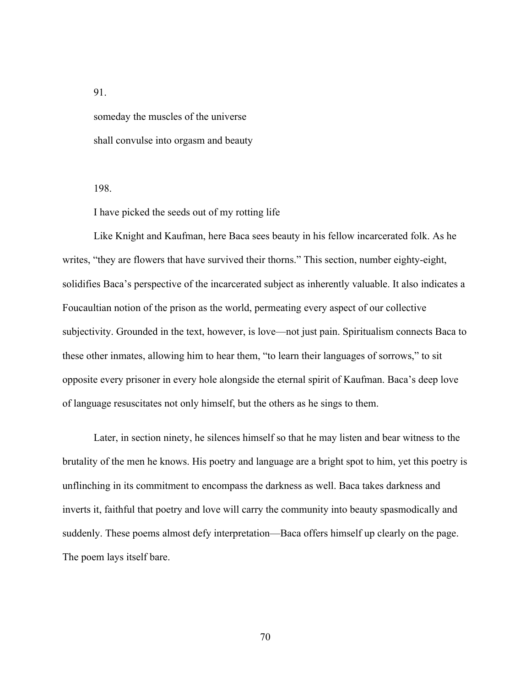91.

someday the muscles of the universe shall convulse into orgasm and beauty

## 198.

I have picked the seeds out of my rotting life

Like Knight and Kaufman, here Baca sees beauty in his fellow incarcerated folk. As he writes, "they are flowers that have survived their thorns." This section, number eighty-eight, solidifies Baca's perspective of the incarcerated subject as inherently valuable. It also indicates a Foucaultian notion of the prison as the world, permeating every aspect of our collective subjectivity. Grounded in the text, however, is love—not just pain. Spiritualism connects Baca to these other inmates, allowing him to hear them, "to learn their languages of sorrows," to sit opposite every prisoner in every hole alongside the eternal spirit of Kaufman. Baca's deep love of language resuscitates not only himself, but the others as he sings to them.

Later, in section ninety, he silences himself so that he may listen and bear witness to the brutality of the men he knows. His poetry and language are a bright spot to him, yet this poetry is unflinching in its commitment to encompass the darkness as well. Baca takes darkness and inverts it, faithful that poetry and love will carry the community into beauty spasmodically and suddenly. These poems almost defy interpretation—Baca offers himself up clearly on the page. The poem lays itself bare.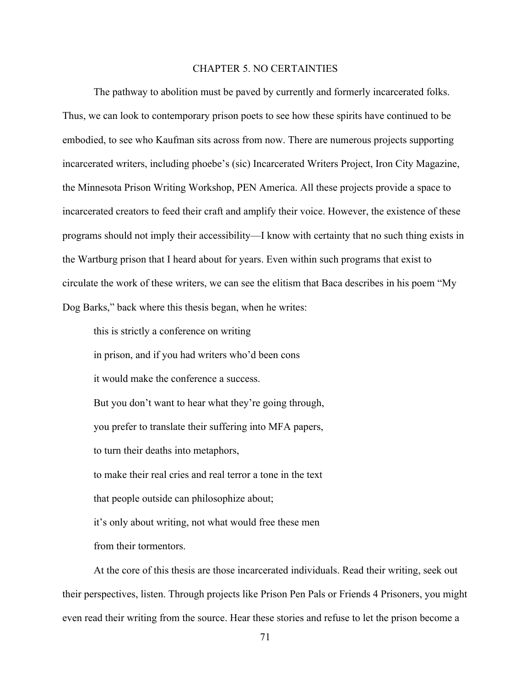#### CHAPTER 5. NO CERTAINTIES

The pathway to abolition must be paved by currently and formerly incarcerated folks. Thus, we can look to contemporary prison poets to see how these spirits have continued to be embodied, to see who Kaufman sits across from now. There are numerous projects supporting incarcerated writers, including phoebe's (sic) Incarcerated Writers Project, Iron City Magazine, the Minnesota Prison Writing Workshop, PEN America. All these projects provide a space to incarcerated creators to feed their craft and amplify their voice. However, the existence of these programs should not imply their accessibility—I know with certainty that no such thing exists in the Wartburg prison that I heard about for years. Even within such programs that exist to circulate the work of these writers, we can see the elitism that Baca describes in his poem "My Dog Barks," back where this thesis began, when he writes:

this is strictly a conference on writing

in prison, and if you had writers who'd been cons

it would make the conference a success.

But you don't want to hear what they're going through,

you prefer to translate their suffering into MFA papers,

to turn their deaths into metaphors,

to make their real cries and real terror a tone in the text

that people outside can philosophize about;

it's only about writing, not what would free these men

from their tormentors.

At the core of this thesis are those incarcerated individuals. Read their writing, seek out their perspectives, listen. Through projects like Prison Pen Pals or Friends 4 Prisoners, you might even read their writing from the source. Hear these stories and refuse to let the prison become a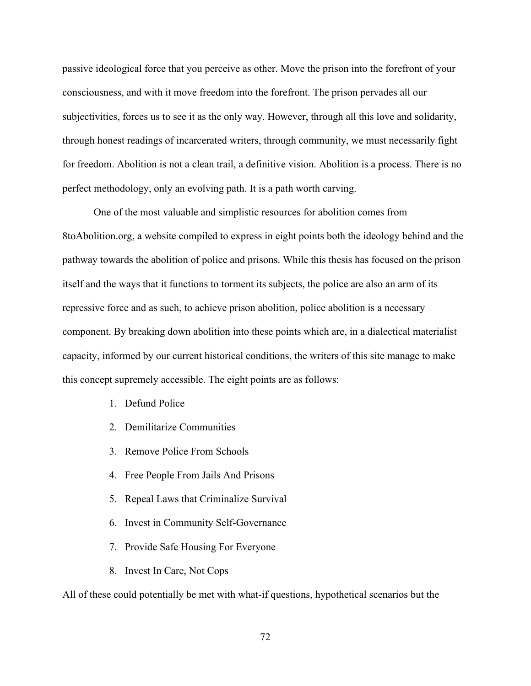passive ideological force that you perceive as other. Move the prison into the forefront of your consciousness, and with it move freedom into the forefront. The prison pervades all our subjectivities, forces us to see it as the only way. However, through all this love and solidarity, through honest readings of incarcerated writers, through community, we must necessarily fight for freedom. Abolition is not a clean trail, a definitive vision. Abolition is a process. There is no perfect methodology, only an evolving path. It is a path worth carving.

One of the most valuable and simplistic resources for abolition comes from 8toAbolition.org, a website compiled to express in eight points both the ideology behind and the pathway towards the abolition of police and prisons. While this thesis has focused on the prison itself and the ways that it functions to torment its subjects, the police are also an arm of its repressive force and as such, to achieve prison abolition, police abolition is a necessary component. By breaking down abolition into these points which are, in a dialectical materialist capacity, informed by our current historical conditions, the writers of this site manage to make this concept supremely accessible. The eight points are as follows:

- 1. Defund Police
- 2. Demilitarize Communities
- 3. Remove Police From Schools
- 4. Free People From Jails And Prisons
- 5. Repeal Laws that Criminalize Survival
- 6. Invest in Community Self-Governance
- 7. Provide Safe Housing For Everyone
- 8. Invest In Care, Not Cops

All of these could potentially be met with what-if questions, hypothetical scenarios but the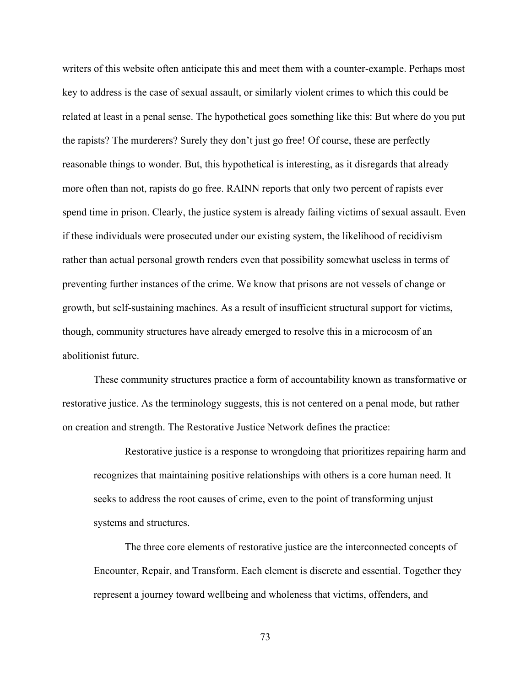writers of this website often anticipate this and meet them with a counter-example. Perhaps most key to address is the case of sexual assault, or similarly violent crimes to which this could be related at least in a penal sense. The hypothetical goes something like this: But where do you put the rapists? The murderers? Surely they don't just go free! Of course, these are perfectly reasonable things to wonder. But, this hypothetical is interesting, as it disregards that already more often than not, rapists do go free. RAINN reports that only two percent of rapists ever spend time in prison. Clearly, the justice system is already failing victims of sexual assault. Even if these individuals were prosecuted under our existing system, the likelihood of recidivism rather than actual personal growth renders even that possibility somewhat useless in terms of preventing further instances of the crime. We know that prisons are not vessels of change or growth, but self-sustaining machines. As a result of insufficient structural support for victims, though, community structures have already emerged to resolve this in a microcosm of an abolitionist future.

These community structures practice a form of accountability known as transformative or restorative justice. As the terminology suggests, this is not centered on a penal mode, but rather on creation and strength. The Restorative Justice Network defines the practice:

Restorative justice is a response to wrongdoing that prioritizes repairing harm and recognizes that maintaining positive relationships with others is a core human need. It seeks to address the root causes of crime, even to the point of transforming unjust systems and structures.

The three core elements of restorative justice are the interconnected concepts of Encounter, Repair, and Transform. Each element is discrete and essential. Together they represent a journey toward wellbeing and wholeness that victims, offenders, and

73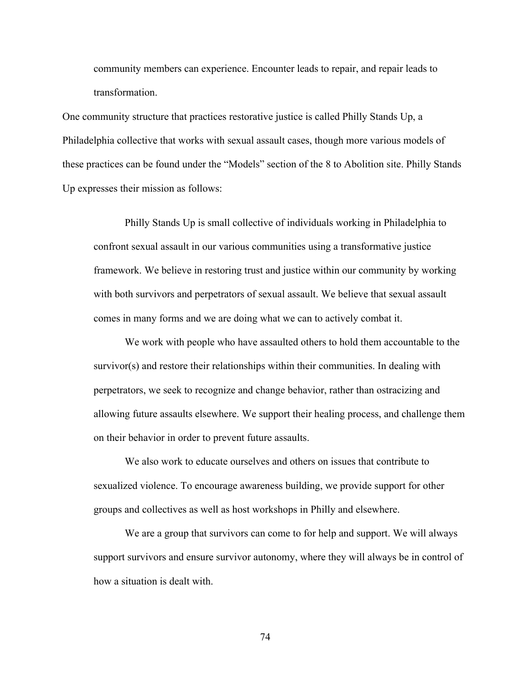community members can experience. Encounter leads to repair, and repair leads to transformation.

One community structure that practices restorative justice is called Philly Stands Up, a Philadelphia collective that works with sexual assault cases, though more various models of these practices can be found under the "Models" section of the 8 to Abolition site. Philly Stands Up expresses their mission as follows:

Philly Stands Up is small collective of individuals working in Philadelphia to confront sexual assault in our various communities using a transformative justice framework. We believe in restoring trust and justice within our community by working with both survivors and perpetrators of sexual assault. We believe that sexual assault comes in many forms and we are doing what we can to actively combat it.

We work with people who have assaulted others to hold them accountable to the survivor(s) and restore their relationships within their communities. In dealing with perpetrators, we seek to recognize and change behavior, rather than ostracizing and allowing future assaults elsewhere. We support their healing process, and challenge them on their behavior in order to prevent future assaults.

We also work to educate ourselves and others on issues that contribute to sexualized violence. To encourage awareness building, we provide support for other groups and collectives as well as host workshops in Philly and elsewhere.

We are a group that survivors can come to for help and support. We will always support survivors and ensure survivor autonomy, where they will always be in control of how a situation is dealt with.

74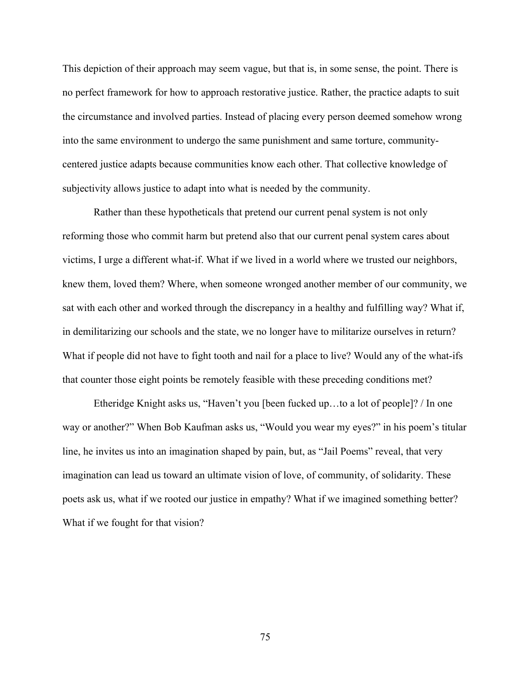This depiction of their approach may seem vague, but that is, in some sense, the point. There is no perfect framework for how to approach restorative justice. Rather, the practice adapts to suit the circumstance and involved parties. Instead of placing every person deemed somehow wrong into the same environment to undergo the same punishment and same torture, communitycentered justice adapts because communities know each other. That collective knowledge of subjectivity allows justice to adapt into what is needed by the community.

Rather than these hypotheticals that pretend our current penal system is not only reforming those who commit harm but pretend also that our current penal system cares about victims, I urge a different what-if. What if we lived in a world where we trusted our neighbors, knew them, loved them? Where, when someone wronged another member of our community, we sat with each other and worked through the discrepancy in a healthy and fulfilling way? What if, in demilitarizing our schools and the state, we no longer have to militarize ourselves in return? What if people did not have to fight tooth and nail for a place to live? Would any of the what-ifs that counter those eight points be remotely feasible with these preceding conditions met?

Etheridge Knight asks us, "Haven't you [been fucked up…to a lot of people]? / In one way or another?" When Bob Kaufman asks us, "Would you wear my eyes?" in his poem's titular line, he invites us into an imagination shaped by pain, but, as "Jail Poems" reveal, that very imagination can lead us toward an ultimate vision of love, of community, of solidarity. These poets ask us, what if we rooted our justice in empathy? What if we imagined something better? What if we fought for that vision?

75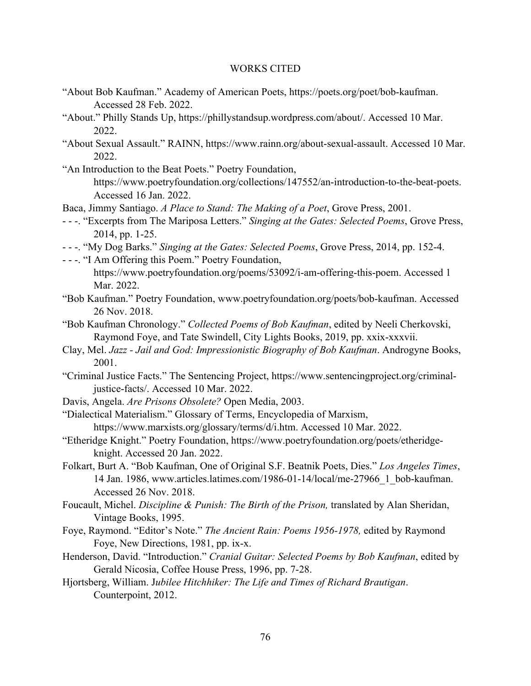## WORKS CITED

- "About Bob Kaufman." Academy of American Poets, https://poets.org/poet/bob-kaufman. Accessed 28 Feb. 2022.
- "About." Philly Stands Up, https://phillystandsup.wordpress.com/about/. Accessed 10 Mar. 2022.
- "About Sexual Assault." RAINN, https://www.rainn.org/about-sexual-assault. Accessed 10 Mar. 2022.
- "An Introduction to the Beat Poets." Poetry Foundation, https://www.poetryfoundation.org/collections/147552/an-introduction-to-the-beat-poets. Accessed 16 Jan. 2022.
- Baca, Jimmy Santiago. *A Place to Stand: The Making of a Poet*, Grove Press, 2001.
- - -. "Excerpts from The Mariposa Letters." *Singing at the Gates: Selected Poems*, Grove Press, 2014, pp. 1-25.
- - -. "My Dog Barks." *Singing at the Gates: Selected Poems*, Grove Press, 2014, pp. 152-4.

- - -. "I Am Offering this Poem." Poetry Foundation, https://www.poetryfoundation.org/poems/53092/i-am-offering-this-poem. Accessed 1 Mar. 2022.

- "Bob Kaufman." Poetry Foundation, www.poetryfoundation.org/poets/bob-kaufman. Accessed 26 Nov. 2018.
- "Bob Kaufman Chronology." *Collected Poems of Bob Kaufman*, edited by Neeli Cherkovski, Raymond Foye, and Tate Swindell, City Lights Books, 2019, pp. xxix-xxxvii.
- Clay, Mel. *Jazz - Jail and God: Impressionistic Biography of Bob Kaufman*. Androgyne Books, 2001.
- "Criminal Justice Facts." The Sentencing Project, https://www.sentencingproject.org/criminaljustice-facts/. Accessed 10 Mar. 2022.
- Davis, Angela. *Are Prisons Obsolete?* Open Media, 2003.
- "Dialectical Materialism." Glossary of Terms, Encyclopedia of Marxism, https://www.marxists.org/glossary/terms/d/i.htm. Accessed 10 Mar. 2022.
- "Etheridge Knight." Poetry Foundation, https://www.poetryfoundation.org/poets/etheridgeknight. Accessed 20 Jan. 2022.
- Folkart, Burt A. "Bob Kaufman, One of Original S.F. Beatnik Poets, Dies." *Los Angeles Times*, 14 Jan. 1986, www.articles.latimes.com/1986-01-14/local/me-27966\_1\_bob-kaufman. Accessed 26 Nov. 2018.
- Foucault, Michel. *Discipline & Punish: The Birth of the Prison,* translated by Alan Sheridan, Vintage Books, 1995.
- Foye, Raymond. "Editor's Note." *The Ancient Rain: Poems 1956-1978,* edited by Raymond Foye, New Directions, 1981, pp. ix-x.
- Henderson, David. "Introduction." *Cranial Guitar: Selected Poems by Bob Kaufman*, edited by Gerald Nicosia, Coffee House Press, 1996, pp. 7-28.
- Hjortsberg, William. J*ubilee Hitchhiker: The Life and Times of Richard Brautigan*. Counterpoint, 2012.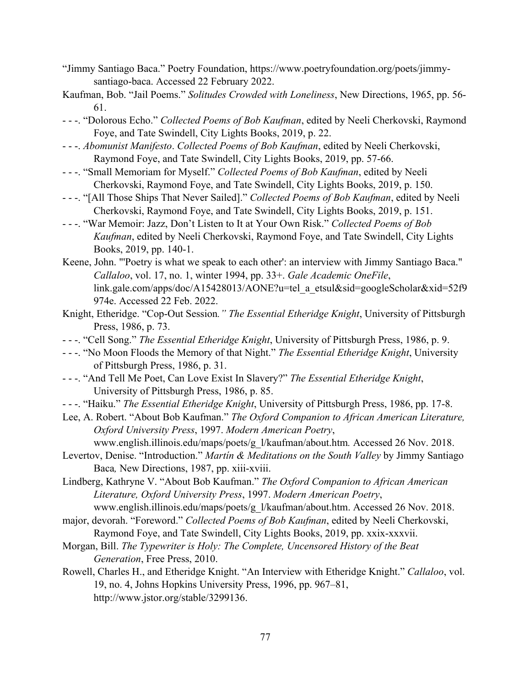- "Jimmy Santiago Baca." Poetry Foundation, https://www.poetryfoundation.org/poets/jimmysantiago-baca. Accessed 22 February 2022.
- Kaufman, Bob. "Jail Poems." *Solitudes Crowded with Loneliness*, New Directions, 1965, pp. 56- 61.
- - -. "Dolorous Echo." *Collected Poems of Bob Kaufman*, edited by Neeli Cherkovski, Raymond Foye, and Tate Swindell, City Lights Books, 2019, p. 22.
- - -. *Abomunist Manifesto*. *Collected Poems of Bob Kaufman*, edited by Neeli Cherkovski, Raymond Foye, and Tate Swindell, City Lights Books, 2019, pp. 57-66.
- - -. "Small Memoriam for Myself." *Collected Poems of Bob Kaufman*, edited by Neeli Cherkovski, Raymond Foye, and Tate Swindell, City Lights Books, 2019, p. 150.
- - -. "[All Those Ships That Never Sailed]." *Collected Poems of Bob Kaufman*, edited by Neeli Cherkovski, Raymond Foye, and Tate Swindell, City Lights Books, 2019, p. 151.
- - -. "War Memoir: Jazz, Don't Listen to It at Your Own Risk." *Collected Poems of Bob Kaufman*, edited by Neeli Cherkovski, Raymond Foye, and Tate Swindell, City Lights Books, 2019, pp. 140-1.
- Keene, John. "'Poetry is what we speak to each other': an interview with Jimmy Santiago Baca." *Callaloo*, vol. 17, no. 1, winter 1994, pp. 33+. *Gale Academic OneFile*, link.gale.com/apps/doc/A15428013/AONE?u=tel\_a\_etsul&sid=googleScholar&xid=52f9 974e. Accessed 22 Feb. 2022.
- Knight, Etheridge. "Cop-Out Session*." The Essential Etheridge Knight*, University of Pittsburgh Press, 1986, p. 73.
- - -. "Cell Song." *The Essential Etheridge Knight*, University of Pittsburgh Press, 1986, p. 9.
- - -. "No Moon Floods the Memory of that Night." *The Essential Etheridge Knight*, University of Pittsburgh Press, 1986, p. 31.
- - -. "And Tell Me Poet, Can Love Exist In Slavery?" *The Essential Etheridge Knight*, University of Pittsburgh Press, 1986, p. 85.
- - -. "Haiku." *The Essential Etheridge Knight*, University of Pittsburgh Press, 1986, pp. 17-8.
- Lee, A. Robert. "About Bob Kaufman." *The Oxford Companion to African American Literature, Oxford University Press*, 1997. *Modern American Poetry*,
	- www.english.illinois.edu/maps/poets/g\_l/kaufman/about.htm*.* Accessed 26 Nov. 2018.
- Levertov, Denise. "Introduction." *Martín & Meditations on the South Valley* by Jimmy Santiago Baca*,* New Directions, 1987, pp. xiii-xviii.
- Lindberg, Kathryne V. "About Bob Kaufman." *The Oxford Companion to African American Literature, Oxford University Press*, 1997. *Modern American Poetry*, www.english.illinois.edu/maps/poets/g\_l/kaufman/about.htm. Accessed 26 Nov. 2018.
- major, devorah. "Foreword." *Collected Poems of Bob Kaufman*, edited by Neeli Cherkovski, Raymond Foye, and Tate Swindell, City Lights Books, 2019, pp. xxix-xxxvii.
- Morgan, Bill. *The Typewriter is Holy: The Complete, Uncensored History of the Beat Generation*, Free Press, 2010.
- Rowell, Charles H., and Etheridge Knight. "An Interview with Etheridge Knight." *Callaloo*, vol. 19, no. 4, Johns Hopkins University Press, 1996, pp. 967–81, http://www.jstor.org/stable/3299136.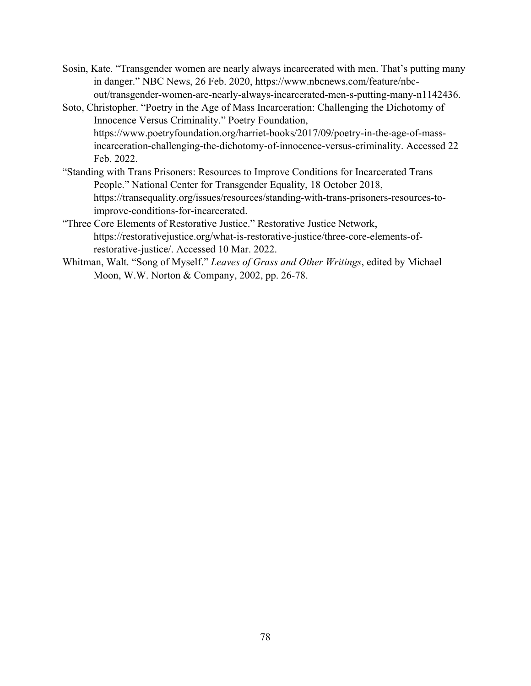- Sosin, Kate. "Transgender women are nearly always incarcerated with men. That's putting many in danger." NBC News, 26 Feb. 2020, https://www.nbcnews.com/feature/nbcout/transgender-women-are-nearly-always-incarcerated-men-s-putting-many-n1142436.
- Soto, Christopher. "Poetry in the Age of Mass Incarceration: Challenging the Dichotomy of Innocence Versus Criminality." Poetry Foundation, https://www.poetryfoundation.org/harriet-books/2017/09/poetry-in-the-age-of-massincarceration-challenging-the-dichotomy-of-innocence-versus-criminality. Accessed 22 Feb. 2022.
- "Standing with Trans Prisoners: Resources to Improve Conditions for Incarcerated Trans People." National Center for Transgender Equality, 18 October 2018, https://transequality.org/issues/resources/standing-with-trans-prisoners-resources-toimprove-conditions-for-incarcerated.
- "Three Core Elements of Restorative Justice." Restorative Justice Network, https://restorativejustice.org/what-is-restorative-justice/three-core-elements-ofrestorative-justice/. Accessed 10 Mar. 2022.
- Whitman, Walt. "Song of Myself." *Leaves of Grass and Other Writings*, edited by Michael Moon, W.W. Norton & Company, 2002, pp. 26-78.